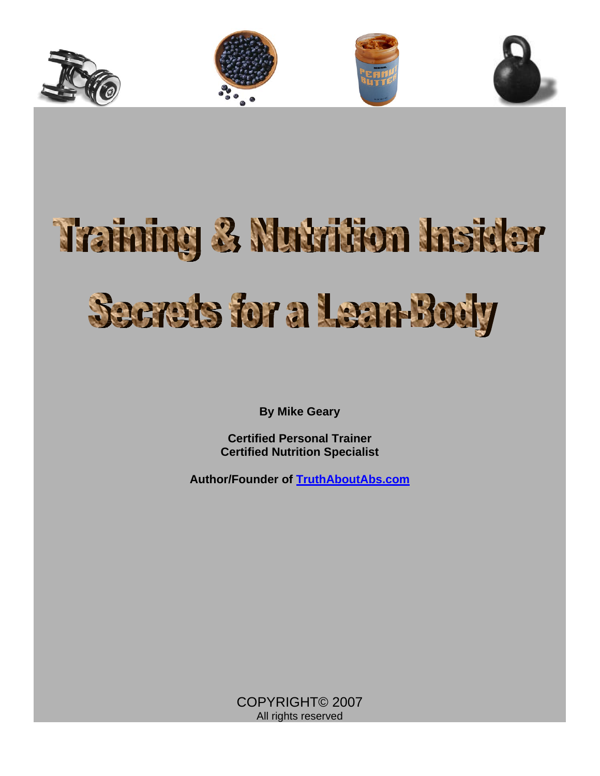



**By Mike Geary** 

**Certified Personal Trainer Certified Nutrition Specialist** 

**Author/Founder of [TruthAboutAbs.com](http://exercise.mikegeary1.hop.clickbank.net/)**

COPYRIGHT© 2007 All rights reserved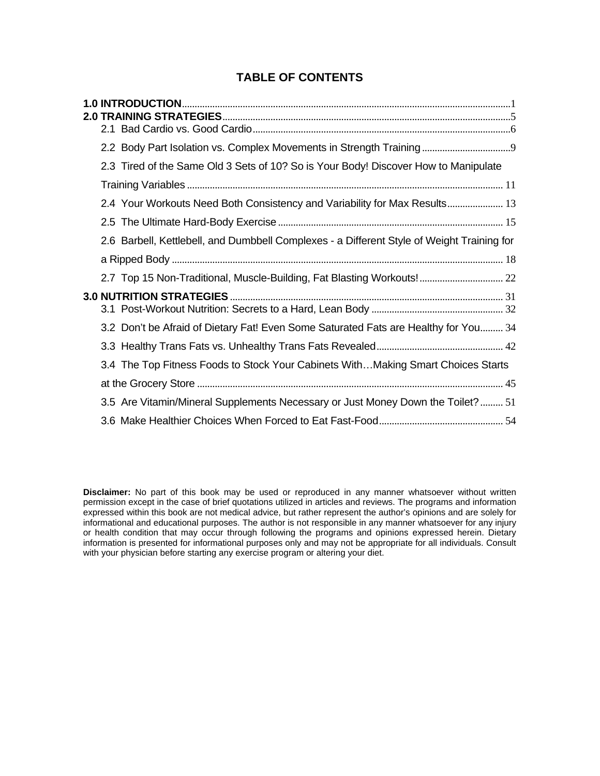## **TABLE OF CONTENTS**

|  | 2.3 Tired of the Same Old 3 Sets of 10? So is Your Body! Discover How to Manipulate        |
|--|--------------------------------------------------------------------------------------------|
|  |                                                                                            |
|  | 2.4 Your Workouts Need Both Consistency and Variability for Max Results 13                 |
|  |                                                                                            |
|  | 2.6 Barbell, Kettlebell, and Dumbbell Complexes - a Different Style of Weight Training for |
|  |                                                                                            |
|  | 2.7 Top 15 Non-Traditional, Muscle-Building, Fat Blasting Workouts! 22                     |
|  |                                                                                            |
|  |                                                                                            |
|  | 3.2 Don't be Afraid of Dietary Fat! Even Some Saturated Fats are Healthy for You 34        |
|  |                                                                                            |
|  | 3.4 The Top Fitness Foods to Stock Your Cabinets WithMaking Smart Choices Starts           |
|  |                                                                                            |
|  | 3.5 Are Vitamin/Mineral Supplements Necessary or Just Money Down the Toilet? 51            |
|  |                                                                                            |

**Disclaimer:** No part of this book may be used or reproduced in any manner whatsoever without written permission except in the case of brief quotations utilized in articles and reviews. The programs and information expressed within this book are not medical advice, but rather represent the author's opinions and are solely for informational and educational purposes. The author is not responsible in any manner whatsoever for any injury or health condition that may occur through following the programs and opinions expressed herein. Dietary information is presented for informational purposes only and may not be appropriate for all individuals. Consult with your physician before starting any exercise program or altering your diet.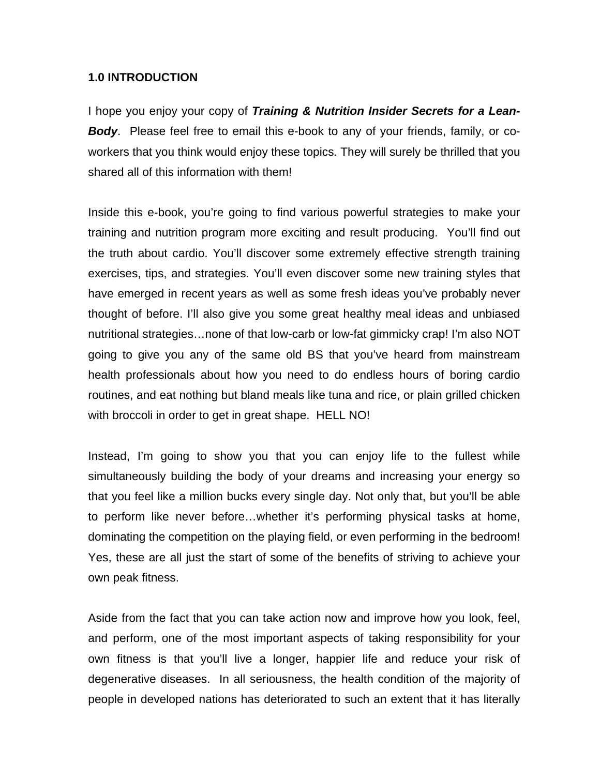#### <span id="page-2-0"></span>**1.0 INTRODUCTION**

I hope you enjoy your copy of *Training & Nutrition Insider Secrets for a Lean-Body*. Please feel free to email this e-book to any of your friends, family, or coworkers that you think would enjoy these topics. They will surely be thrilled that you shared all of this information with them!

Inside this e-book, you're going to find various powerful strategies to make your training and nutrition program more exciting and result producing. You'll find out the truth about cardio. You'll discover some extremely effective strength training exercises, tips, and strategies. You'll even discover some new training styles that have emerged in recent years as well as some fresh ideas you've probably never thought of before. I'll also give you some great healthy meal ideas and unbiased nutritional strategies…none of that low-carb or low-fat gimmicky crap! I'm also NOT going to give you any of the same old BS that you've heard from mainstream health professionals about how you need to do endless hours of boring cardio routines, and eat nothing but bland meals like tuna and rice, or plain grilled chicken with broccoli in order to get in great shape. HELL NO!

Instead, I'm going to show you that you can enjoy life to the fullest while simultaneously building the body of your dreams and increasing your energy so that you feel like a million bucks every single day. Not only that, but you'll be able to perform like never before…whether it's performing physical tasks at home, dominating the competition on the playing field, or even performing in the bedroom! Yes, these are all just the start of some of the benefits of striving to achieve your own peak fitness.

Aside from the fact that you can take action now and improve how you look, feel, and perform, one of the most important aspects of taking responsibility for your own fitness is that you'll live a longer, happier life and reduce your risk of degenerative diseases. In all seriousness, the health condition of the majority of people in developed nations has deteriorated to such an extent that it has literally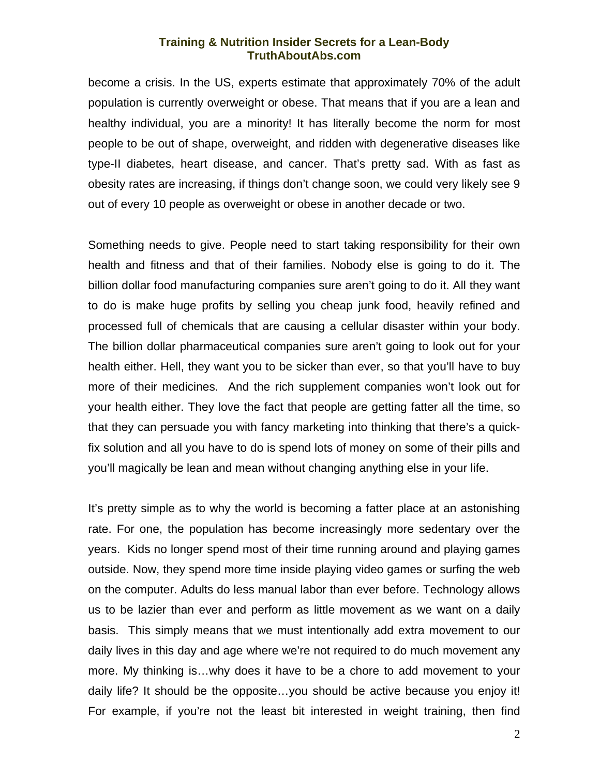become a crisis. In the US, experts estimate that approximately 70% of the adult population is currently overweight or obese. That means that if you are a lean and healthy individual, you are a minority! It has literally become the norm for most people to be out of shape, overweight, and ridden with degenerative diseases like type-II diabetes, heart disease, and cancer. That's pretty sad. With as fast as obesity rates are increasing, if things don't change soon, we could very likely see 9 out of every 10 people as overweight or obese in another decade or two.

Something needs to give. People need to start taking responsibility for their own health and fitness and that of their families. Nobody else is going to do it. The billion dollar food manufacturing companies sure aren't going to do it. All they want to do is make huge profits by selling you cheap junk food, heavily refined and processed full of chemicals that are causing a cellular disaster within your body. The billion dollar pharmaceutical companies sure aren't going to look out for your health either. Hell, they want you to be sicker than ever, so that you'll have to buy more of their medicines. And the rich supplement companies won't look out for your health either. They love the fact that people are getting fatter all the time, so that they can persuade you with fancy marketing into thinking that there's a quickfix solution and all you have to do is spend lots of money on some of their pills and you'll magically be lean and mean without changing anything else in your life.

It's pretty simple as to why the world is becoming a fatter place at an astonishing rate. For one, the population has become increasingly more sedentary over the years. Kids no longer spend most of their time running around and playing games outside. Now, they spend more time inside playing video games or surfing the web on the computer. Adults do less manual labor than ever before. Technology allows us to be lazier than ever and perform as little movement as we want on a daily basis. This simply means that we must intentionally add extra movement to our daily lives in this day and age where we're not required to do much movement any more. My thinking is…why does it have to be a chore to add movement to your daily life? It should be the opposite…you should be active because you enjoy it! For example, if you're not the least bit interested in weight training, then find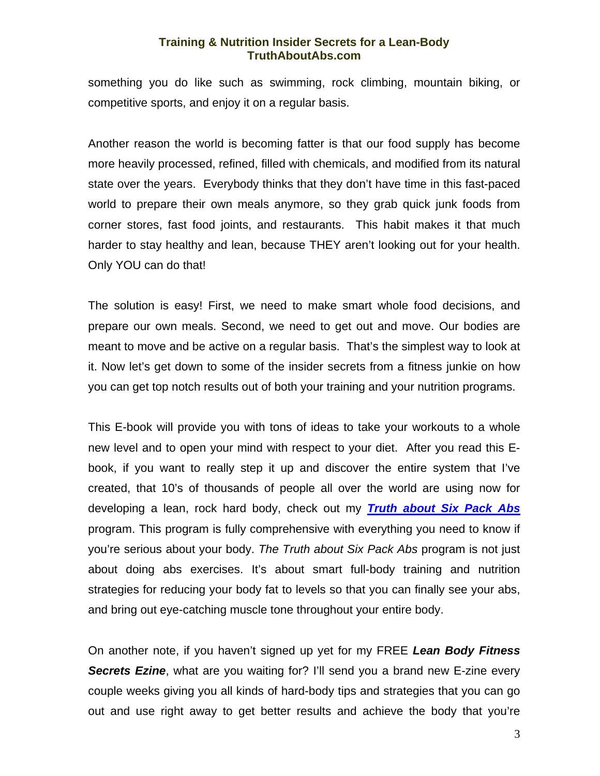something you do like such as swimming, rock climbing, mountain biking, or competitive sports, and enjoy it on a regular basis.

Another reason the world is becoming fatter is that our food supply has become more heavily processed, refined, filled with chemicals, and modified from its natural state over the years. Everybody thinks that they don't have time in this fast-paced world to prepare their own meals anymore, so they grab quick junk foods from corner stores, fast food joints, and restaurants. This habit makes it that much harder to stay healthy and lean, because THEY aren't looking out for your health. Only YOU can do that!

The solution is easy! First, we need to make smart whole food decisions, and prepare our own meals. Second, we need to get out and move. Our bodies are meant to move and be active on a regular basis. That's the simplest way to look at it. Now let's get down to some of the insider secrets from a fitness junkie on how you can get top notch results out of both your training and your nutrition programs.

This E-book will provide you with tons of ideas to take your workouts to a whole new level and to open your mind with respect to your diet. After you read this Ebook, if you want to really step it up and discover the entire system that I've created, that 10's of thousands of people all over the world are using now for developing a lean, rock hard body, check out my *[Truth about Six Pack Abs](http://exercise.mikegeary1.hop.clickbank.net/)* program. This program is fully comprehensive with everything you need to know if you're serious about your body. *The Truth about Six Pack Abs* program is not just about doing abs exercises. It's about smart full-body training and nutrition strategies for reducing your body fat to levels so that you can finally see your abs, and bring out eye-catching muscle tone throughout your entire body.

On another note, if you haven't signed up yet for my FREE *Lean Body Fitness*  **Secrets Ezine**, what are you waiting for? I'll send you a brand new E-zine every couple weeks giving you all kinds of hard-body tips and strategies that you can go out and use right away to get better results and achieve the body that you're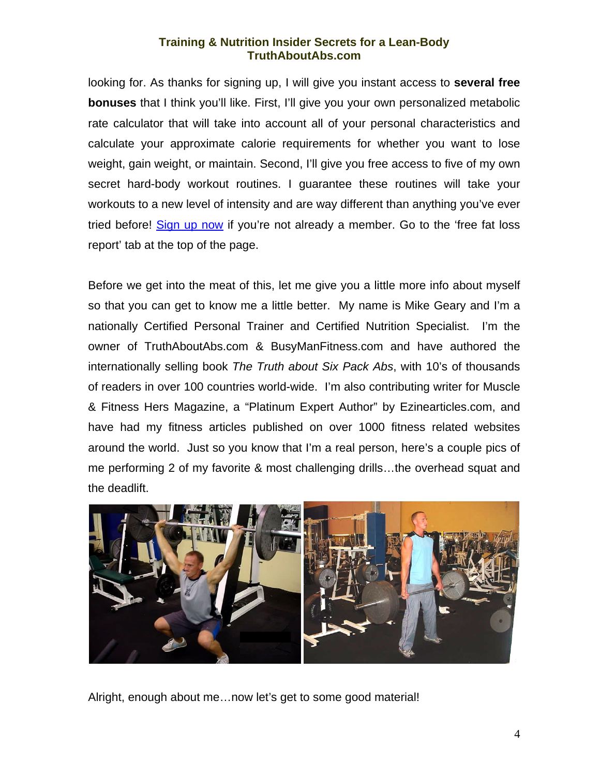looking for. As thanks for signing up, I will give you instant access to **several free bonuses** that I think you'll like. First, I'll give you your own personalized metabolic rate calculator that will take into account all of your personal characteristics and calculate your approximate calorie requirements for whether you want to lose weight, gain weight, or maintain. Second, I'll give you free access to five of my own secret hard-body workout routines. I guarantee these routines will take your workouts to a new level of intensity and are way different than anything you've ever tried before! [Sign up now](http://exercise.mikegeary1.hop.clickbank.net/) if you're not already a member. Go to the 'free fat loss report' tab at the top of the page.

Before we get into the meat of this, let me give you a little more info about myself so that you can get to know me a little better. My name is Mike Geary and I'm a nationally Certified Personal Trainer and Certified Nutrition Specialist. I'm the owner of TruthAboutAbs.com & BusyManFitness.com and have authored the internationally selling book *The Truth about Six Pack Abs*, with 10's of thousands of readers in over 100 countries world-wide. I'm also contributing writer for Muscle & Fitness Hers Magazine, a "Platinum Expert Author" by Ezinearticles.com, and have had my fitness articles published on over 1000 fitness related websites around the world. Just so you know that I'm a real person, here's a couple pics of me performing 2 of my favorite & most challenging drills…the overhead squat and the deadlift.



Alright, enough about me…now let's get to some good material!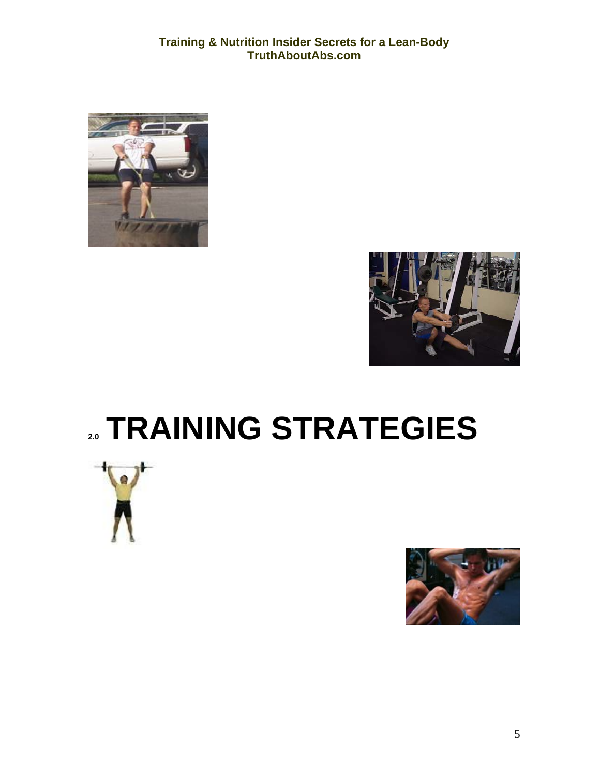<span id="page-6-0"></span>



## **2.0 TRAINING STRATEGIES**



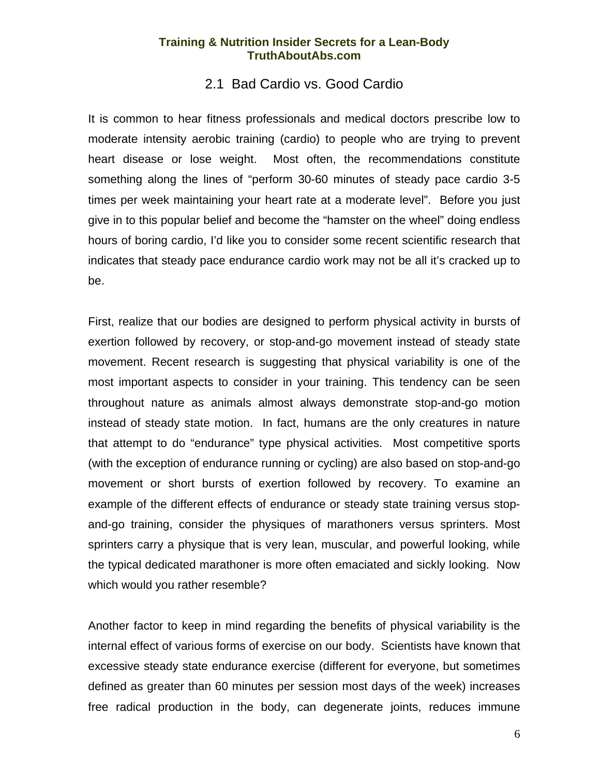## 2.1 Bad Cardio vs. Good Cardio

<span id="page-7-0"></span>It is common to hear fitness professionals and medical doctors prescribe low to moderate intensity aerobic training (cardio) to people who are trying to prevent heart disease or lose weight. Most often, the recommendations constitute something along the lines of "perform 30-60 minutes of steady pace cardio 3-5 times per week maintaining your heart rate at a moderate level". Before you just give in to this popular belief and become the "hamster on the wheel" doing endless hours of boring cardio, I'd like you to consider some recent scientific research that indicates that steady pace endurance cardio work may not be all it's cracked up to be.

First, realize that our bodies are designed to perform physical activity in bursts of exertion followed by recovery, or stop-and-go movement instead of steady state movement. Recent research is suggesting that physical variability is one of the most important aspects to consider in your training. This tendency can be seen throughout nature as animals almost always demonstrate stop-and-go motion instead of steady state motion. In fact, humans are the only creatures in nature that attempt to do "endurance" type physical activities. Most competitive sports (with the exception of endurance running or cycling) are also based on stop-and-go movement or short bursts of exertion followed by recovery. To examine an example of the different effects of endurance or steady state training versus stopand-go training, consider the physiques of marathoners versus sprinters. Most sprinters carry a physique that is very lean, muscular, and powerful looking, while the typical dedicated marathoner is more often emaciated and sickly looking. Now which would you rather resemble?

Another factor to keep in mind regarding the benefits of physical variability is the internal effect of various forms of exercise on our body. Scientists have known that excessive steady state endurance exercise (different for everyone, but sometimes defined as greater than 60 minutes per session most days of the week) increases free radical production in the body, can degenerate joints, reduces immune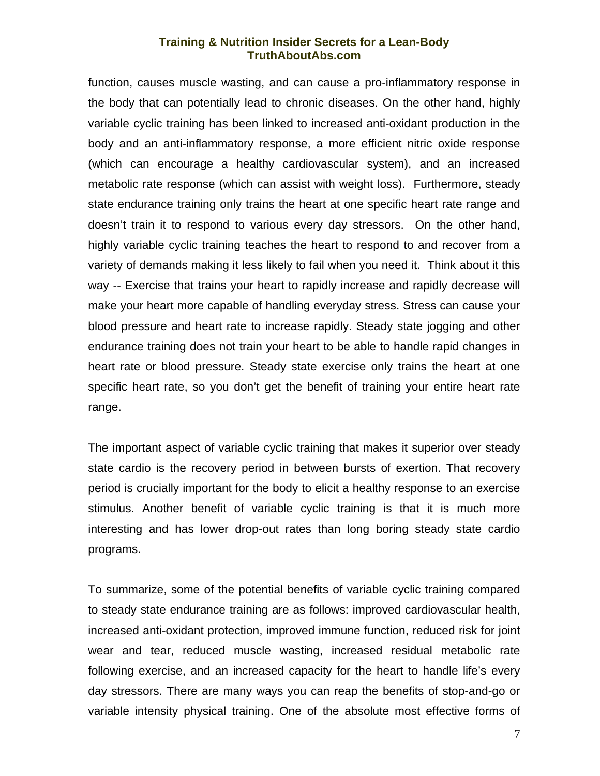function, causes muscle wasting, and can cause a pro-inflammatory response in the body that can potentially lead to chronic diseases. On the other hand, highly variable cyclic training has been linked to increased anti-oxidant production in the body and an anti-inflammatory response, a more efficient nitric oxide response (which can encourage a healthy cardiovascular system), and an increased metabolic rate response (which can assist with weight loss). Furthermore, steady state endurance training only trains the heart at one specific heart rate range and doesn't train it to respond to various every day stressors. On the other hand, highly variable cyclic training teaches the heart to respond to and recover from a variety of demands making it less likely to fail when you need it. Think about it this way -- Exercise that trains your heart to rapidly increase and rapidly decrease will make your heart more capable of handling everyday stress. Stress can cause your blood pressure and heart rate to increase rapidly. Steady state jogging and other endurance training does not train your heart to be able to handle rapid changes in heart rate or blood pressure. Steady state exercise only trains the heart at one specific heart rate, so you don't get the benefit of training your entire heart rate range.

The important aspect of variable cyclic training that makes it superior over steady state cardio is the recovery period in between bursts of exertion. That recovery period is crucially important for the body to elicit a healthy response to an exercise stimulus. Another benefit of variable cyclic training is that it is much more interesting and has lower drop-out rates than long boring steady state cardio programs.

To summarize, some of the potential benefits of variable cyclic training compared to steady state endurance training are as follows: improved cardiovascular health, increased anti-oxidant protection, improved immune function, reduced risk for joint wear and tear, reduced muscle wasting, increased residual metabolic rate following exercise, and an increased capacity for the heart to handle life's every day stressors. There are many ways you can reap the benefits of stop-and-go or variable intensity physical training. One of the absolute most effective forms of

7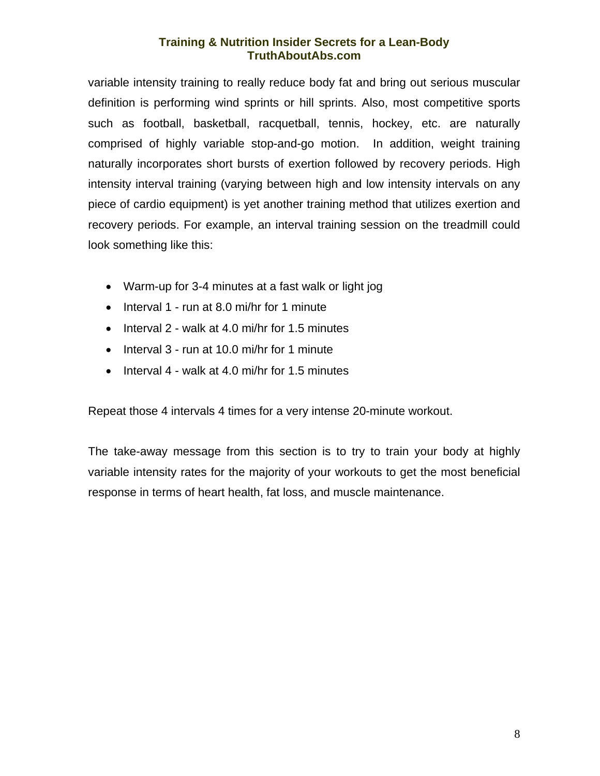variable intensity training to really reduce body fat and bring out serious muscular definition is performing wind sprints or hill sprints. Also, most competitive sports such as football, basketball, racquetball, tennis, hockey, etc. are naturally comprised of highly variable stop-and-go motion. In addition, weight training naturally incorporates short bursts of exertion followed by recovery periods. High intensity interval training (varying between high and low intensity intervals on any piece of cardio equipment) is yet another training method that utilizes exertion and recovery periods. For example, an interval training session on the treadmill could look something like this:

- Warm-up for 3-4 minutes at a fast walk or light jog
- Interval 1 run at 8.0 mi/hr for 1 minute
- Interval 2 walk at 4.0 mi/hr for 1.5 minutes
- Interval 3 run at 10.0 mi/hr for 1 minute
- Interval 4 walk at 4.0 mi/hr for 1.5 minutes

Repeat those 4 intervals 4 times for a very intense 20-minute workout.

The take-away message from this section is to try to train your body at highly variable intensity rates for the majority of your workouts to get the most beneficial response in terms of heart health, fat loss, and muscle maintenance.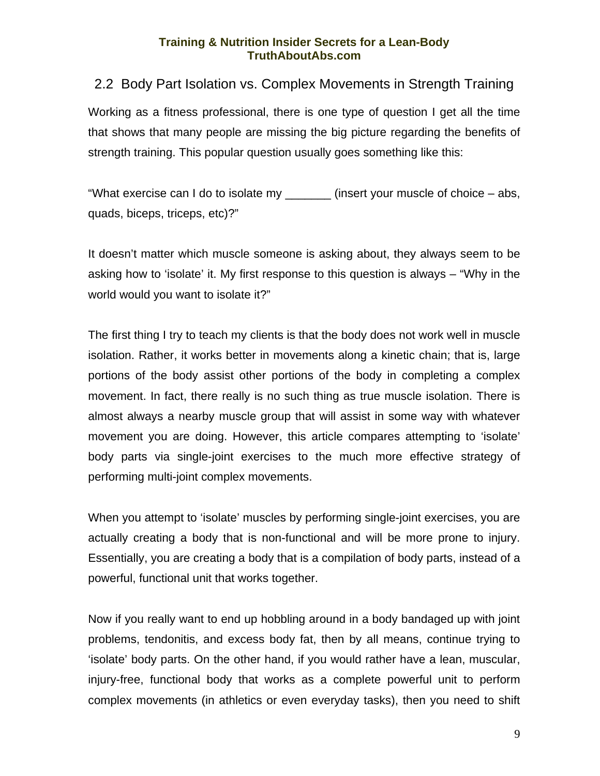## <span id="page-10-0"></span>2.2 Body Part Isolation vs. Complex Movements in Strength Training Working as a fitness professional, there is one type of question I get all the time that shows that many people are missing the big picture regarding the benefits of strength training. This popular question usually goes something like this:

"What exercise can I do to isolate my \_\_\_\_\_\_\_ (insert your muscle of choice – abs, quads, biceps, triceps, etc)?"

It doesn't matter which muscle someone is asking about, they always seem to be asking how to 'isolate' it. My first response to this question is always – "Why in the world would you want to isolate it?"

The first thing I try to teach my clients is that the body does not work well in muscle isolation. Rather, it works better in movements along a kinetic chain; that is, large portions of the body assist other portions of the body in completing a complex movement. In fact, there really is no such thing as true muscle isolation. There is almost always a nearby muscle group that will assist in some way with whatever movement you are doing. However, this article compares attempting to 'isolate' body parts via single-joint exercises to the much more effective strategy of performing multi-joint complex movements.

When you attempt to 'isolate' muscles by performing single-joint exercises, you are actually creating a body that is non-functional and will be more prone to injury. Essentially, you are creating a body that is a compilation of body parts, instead of a powerful, functional unit that works together.

Now if you really want to end up hobbling around in a body bandaged up with joint problems, tendonitis, and excess body fat, then by all means, continue trying to 'isolate' body parts. On the other hand, if you would rather have a lean, muscular, injury-free, functional body that works as a complete powerful unit to perform complex movements (in athletics or even everyday tasks), then you need to shift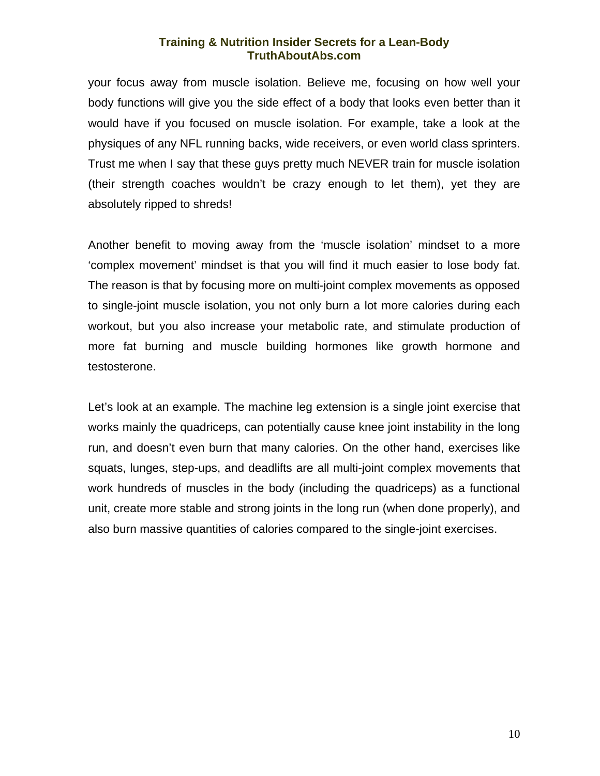your focus away from muscle isolation. Believe me, focusing on how well your body functions will give you the side effect of a body that looks even better than it would have if you focused on muscle isolation. For example, take a look at the physiques of any NFL running backs, wide receivers, or even world class sprinters. Trust me when I say that these guys pretty much NEVER train for muscle isolation (their strength coaches wouldn't be crazy enough to let them), yet they are absolutely ripped to shreds!

Another benefit to moving away from the 'muscle isolation' mindset to a more 'complex movement' mindset is that you will find it much easier to lose body fat. The reason is that by focusing more on multi-joint complex movements as opposed to single-joint muscle isolation, you not only burn a lot more calories during each workout, but you also increase your metabolic rate, and stimulate production of more fat burning and muscle building hormones like growth hormone and testosterone.

Let's look at an example. The machine leg extension is a single joint exercise that works mainly the quadriceps, can potentially cause knee joint instability in the long run, and doesn't even burn that many calories. On the other hand, exercises like squats, lunges, step-ups, and deadlifts are all multi-joint complex movements that work hundreds of muscles in the body (including the quadriceps) as a functional unit, create more stable and strong joints in the long run (when done properly), and also burn massive quantities of calories compared to the single-joint exercises.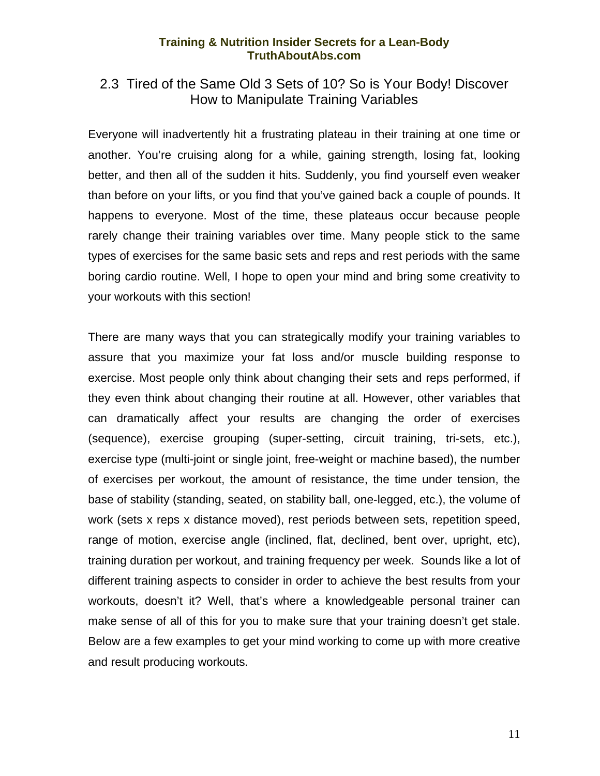## <span id="page-12-0"></span>2.3 Tired of the Same Old 3 Sets of 10? So is Your Body! Discover How to Manipulate Training Variables

Everyone will inadvertently hit a frustrating plateau in their training at one time or another. You're cruising along for a while, gaining strength, losing fat, looking better, and then all of the sudden it hits. Suddenly, you find yourself even weaker than before on your lifts, or you find that you've gained back a couple of pounds. It happens to everyone. Most of the time, these plateaus occur because people rarely change their training variables over time. Many people stick to the same types of exercises for the same basic sets and reps and rest periods with the same boring cardio routine. Well, I hope to open your mind and bring some creativity to your workouts with this section!

There are many ways that you can strategically modify your training variables to assure that you maximize your fat loss and/or muscle building response to exercise. Most people only think about changing their sets and reps performed, if they even think about changing their routine at all. However, other variables that can dramatically affect your results are changing the order of exercises (sequence), exercise grouping (super-setting, circuit training, tri-sets, etc.), exercise type (multi-joint or single joint, free-weight or machine based), the number of exercises per workout, the amount of resistance, the time under tension, the base of stability (standing, seated, on stability ball, one-legged, etc.), the volume of work (sets x reps x distance moved), rest periods between sets, repetition speed, range of motion, exercise angle (inclined, flat, declined, bent over, upright, etc), training duration per workout, and training frequency per week. Sounds like a lot of different training aspects to consider in order to achieve the best results from your workouts, doesn't it? Well, that's where a knowledgeable personal trainer can make sense of all of this for you to make sure that your training doesn't get stale. Below are a few examples to get your mind working to come up with more creative and result producing workouts.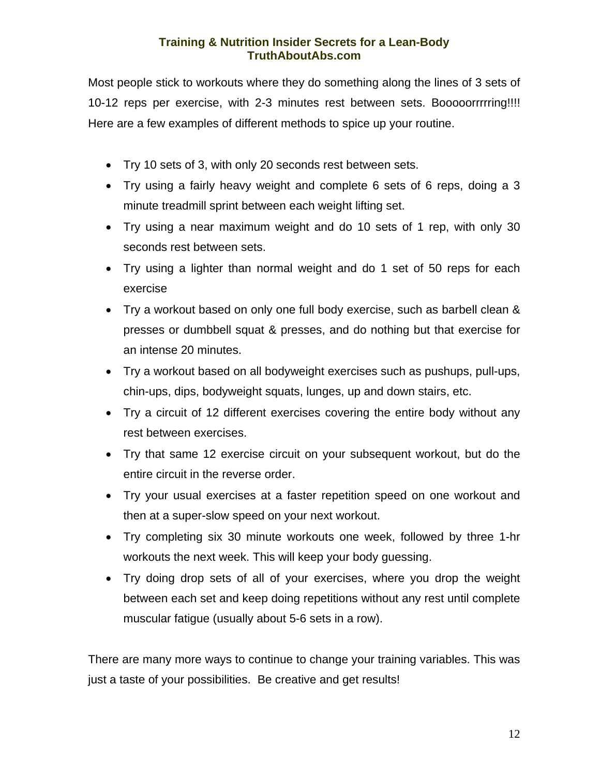Most people stick to workouts where they do something along the lines of 3 sets of 10-12 reps per exercise, with 2-3 minutes rest between sets. Booooorrrrring!!!! Here are a few examples of different methods to spice up your routine.

- Try 10 sets of 3, with only 20 seconds rest between sets.
- Try using a fairly heavy weight and complete 6 sets of 6 reps, doing a 3 minute treadmill sprint between each weight lifting set.
- Try using a near maximum weight and do 10 sets of 1 rep, with only 30 seconds rest between sets.
- Try using a lighter than normal weight and do 1 set of 50 reps for each exercise
- Try a workout based on only one full body exercise, such as barbell clean & presses or dumbbell squat & presses, and do nothing but that exercise for an intense 20 minutes.
- Try a workout based on all bodyweight exercises such as pushups, pull-ups, chin-ups, dips, bodyweight squats, lunges, up and down stairs, etc.
- Try a circuit of 12 different exercises covering the entire body without any rest between exercises.
- Try that same 12 exercise circuit on your subsequent workout, but do the entire circuit in the reverse order.
- Try your usual exercises at a faster repetition speed on one workout and then at a super-slow speed on your next workout.
- Try completing six 30 minute workouts one week, followed by three 1-hr workouts the next week. This will keep your body guessing.
- Try doing drop sets of all of your exercises, where you drop the weight between each set and keep doing repetitions without any rest until complete muscular fatigue (usually about 5-6 sets in a row).

There are many more ways to continue to change your training variables. This was just a taste of your possibilities. Be creative and get results!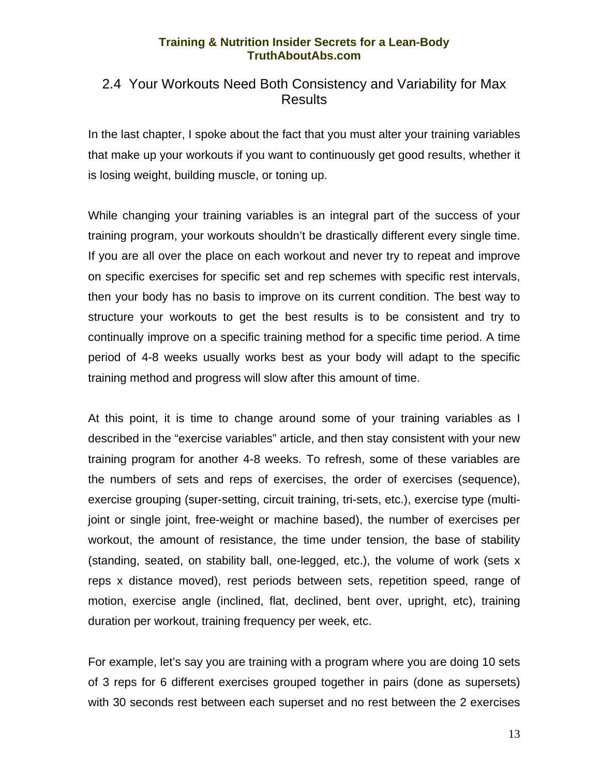## <span id="page-14-0"></span>2.4 Your Workouts Need Both Consistency and Variability for Max Results

In the last chapter, I spoke about the fact that you must alter your training variables that make up your workouts if you want to continuously get good results, whether it is losing weight, building muscle, or toning up.

While changing your training variables is an integral part of the success of your training program, your workouts shouldn't be drastically different every single time. If you are all over the place on each workout and never try to repeat and improve on specific exercises for specific set and rep schemes with specific rest intervals, then your body has no basis to improve on its current condition. The best way to structure your workouts to get the best results is to be consistent and try to continually improve on a specific training method for a specific time period. A time period of 4-8 weeks usually works best as your body will adapt to the specific training method and progress will slow after this amount of time.

At this point, it is time to change around some of your training variables as I described in the "exercise variables" article, and then stay consistent with your new training program for another 4-8 weeks. To refresh, some of these variables are the numbers of sets and reps of exercises, the order of exercises (sequence), exercise grouping (super-setting, circuit training, tri-sets, etc.), exercise type (multijoint or single joint, free-weight or machine based), the number of exercises per workout, the amount of resistance, the time under tension, the base of stability (standing, seated, on stability ball, one-legged, etc.), the volume of work (sets x reps x distance moved), rest periods between sets, repetition speed, range of motion, exercise angle (inclined, flat, declined, bent over, upright, etc), training duration per workout, training frequency per week, etc.

For example, let's say you are training with a program where you are doing 10 sets of 3 reps for 6 different exercises grouped together in pairs (done as supersets) with 30 seconds rest between each superset and no rest between the 2 exercises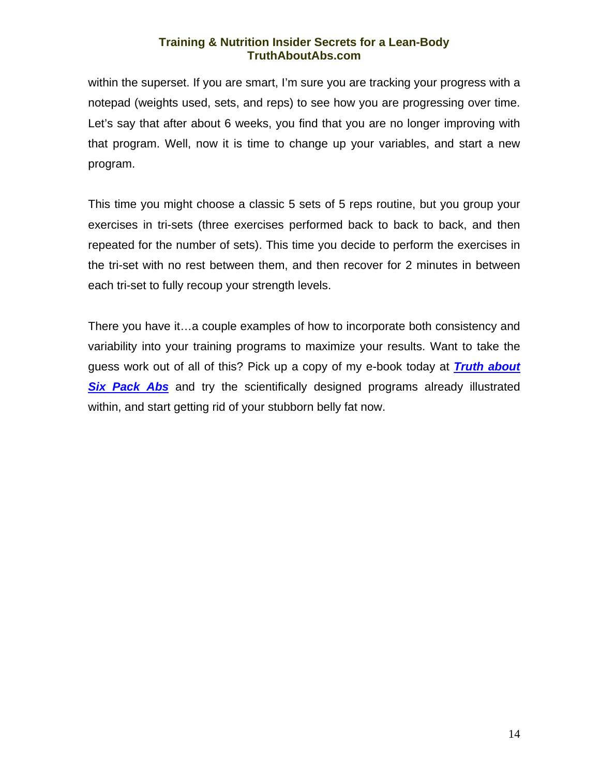within the superset. If you are smart, I'm sure you are tracking your progress with a notepad (weights used, sets, and reps) to see how you are progressing over time. Let's say that after about 6 weeks, you find that you are no longer improving with that program. Well, now it is time to change up your variables, and start a new program.

This time you might choose a classic 5 sets of 5 reps routine, but you group your exercises in tri-sets (three exercises performed back to back to back, and then repeated for the number of sets). This time you decide to perform the exercises in the tri-set with no rest between them, and then recover for 2 minutes in between each tri-set to fully recoup your strength levels.

There you have it…a couple examples of how to incorporate both consistency and variability into your training programs to maximize your results. Want to take the guess work out of all of this? Pick up a copy of my e-book today at *[Truth about](http://exercise.mikegeary1.hop.clickbank.net/)*  **[Six Pack Abs](http://exercise.mikegeary1.hop.clickbank.net/)** and try the scientifically designed programs already illustrated within, and start getting rid of your stubborn belly fat now.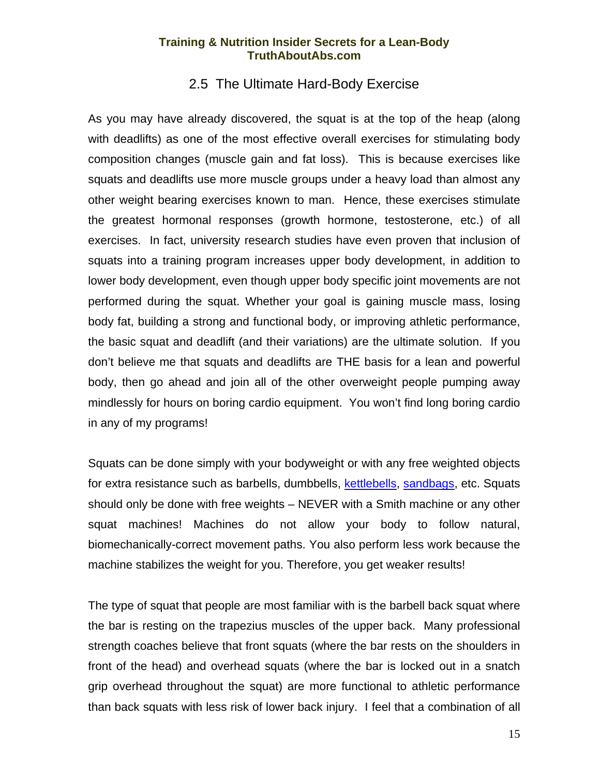## 2.5 The Ultimate Hard-Body Exercise

<span id="page-16-0"></span>As you may have already discovered, the squat is at the top of the heap (along with deadlifts) as one of the most effective overall exercises for stimulating body composition changes (muscle gain and fat loss). This is because exercises like squats and deadlifts use more muscle groups under a heavy load than almost any other weight bearing exercises known to man. Hence, these exercises stimulate the greatest hormonal responses (growth hormone, testosterone, etc.) of all exercises. In fact, university research studies have even proven that inclusion of squats into a training program increases upper body development, in addition to lower body development, even though upper body specific joint movements are not performed during the squat. Whether your goal is gaining muscle mass, losing body fat, building a strong and functional body, or improving athletic performance, the basic squat and deadlift (and their variations) are the ultimate solution. If you don't believe me that squats and deadlifts are THE basis for a lean and powerful body, then go ahead and join all of the other overweight people pumping away mindlessly for hours on boring cardio equipment. You won't find long boring cardio in any of my programs!

Squats can be done simply with your bodyweight or with any free weighted objects for extra resistance such as barbells, dumbbells, [kettlebells,](http://www.dragondoor.com/p10.html?kbid=2531) [sandbags,](http://m231g.sandbag.hop.clickbank.net/) etc. Squats should only be done with free weights – NEVER with a Smith machine or any other squat machines! Machines do not allow your body to follow natural, biomechanically-correct movement paths. You also perform less work because the machine stabilizes the weight for you. Therefore, you get weaker results!

The type of squat that people are most familiar with is the barbell back squat where the bar is resting on the trapezius muscles of the upper back. Many professional strength coaches believe that front squats (where the bar rests on the shoulders in front of the head) and overhead squats (where the bar is locked out in a snatch grip overhead throughout the squat) are more functional to athletic performance than back squats with less risk of lower back injury. I feel that a combination of all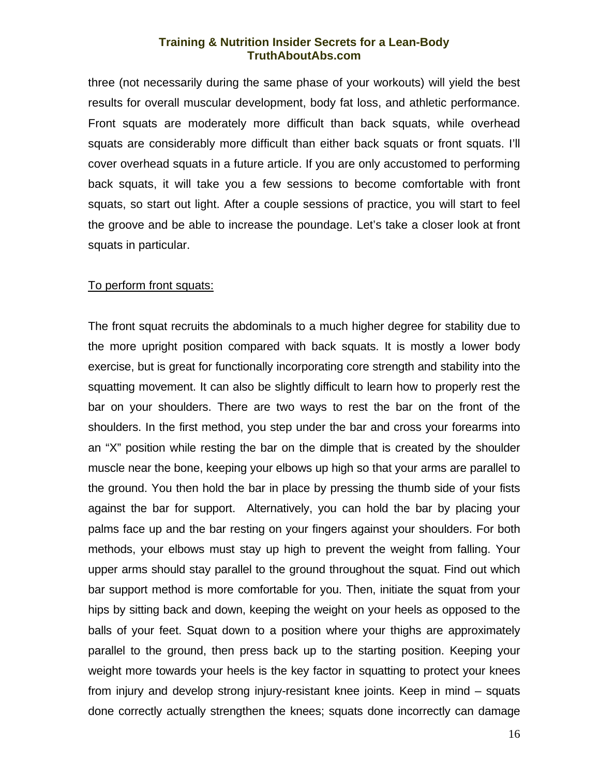three (not necessarily during the same phase of your workouts) will yield the best results for overall muscular development, body fat loss, and athletic performance. Front squats are moderately more difficult than back squats, while overhead squats are considerably more difficult than either back squats or front squats. I'll cover overhead squats in a future article. If you are only accustomed to performing back squats, it will take you a few sessions to become comfortable with front squats, so start out light. After a couple sessions of practice, you will start to feel the groove and be able to increase the poundage. Let's take a closer look at front squats in particular.

#### To perform front squats:

The front squat recruits the abdominals to a much higher degree for stability due to the more upright position compared with back squats. It is mostly a lower body exercise, but is great for functionally incorporating core strength and stability into the squatting movement. It can also be slightly difficult to learn how to properly rest the bar on your shoulders. There are two ways to rest the bar on the front of the shoulders. In the first method, you step under the bar and cross your forearms into an "X" position while resting the bar on the dimple that is created by the shoulder muscle near the bone, keeping your elbows up high so that your arms are parallel to the ground. You then hold the bar in place by pressing the thumb side of your fists against the bar for support. Alternatively, you can hold the bar by placing your palms face up and the bar resting on your fingers against your shoulders. For both methods, your elbows must stay up high to prevent the weight from falling. Your upper arms should stay parallel to the ground throughout the squat. Find out which bar support method is more comfortable for you. Then, initiate the squat from your hips by sitting back and down, keeping the weight on your heels as opposed to the balls of your feet. Squat down to a position where your thighs are approximately parallel to the ground, then press back up to the starting position. Keeping your weight more towards your heels is the key factor in squatting to protect your knees from injury and develop strong injury-resistant knee joints. Keep in mind – squats done correctly actually strengthen the knees; squats done incorrectly can damage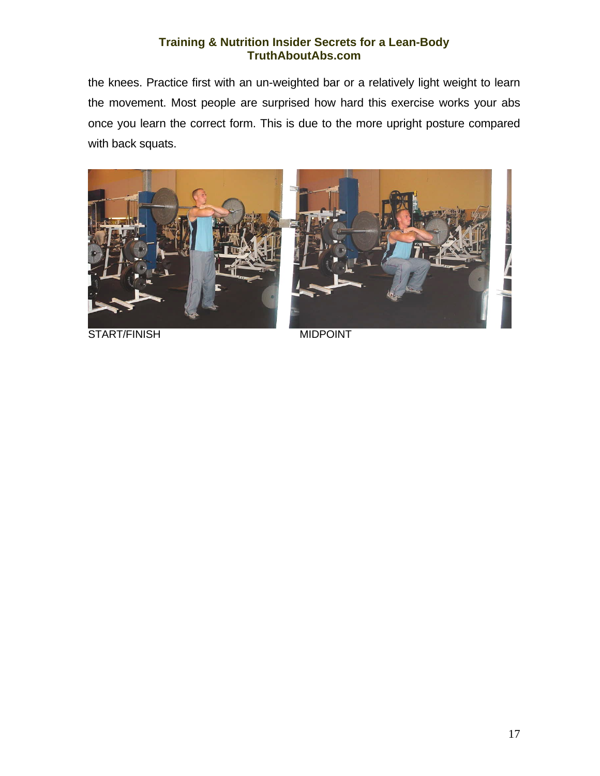the knees. Practice first with an un-weighted bar or a relatively light weight to learn the movement. Most people are surprised how hard this exercise works your abs once you learn the correct form. This is due to the more upright posture compared with back squats.



START/FINISH MIDPOINT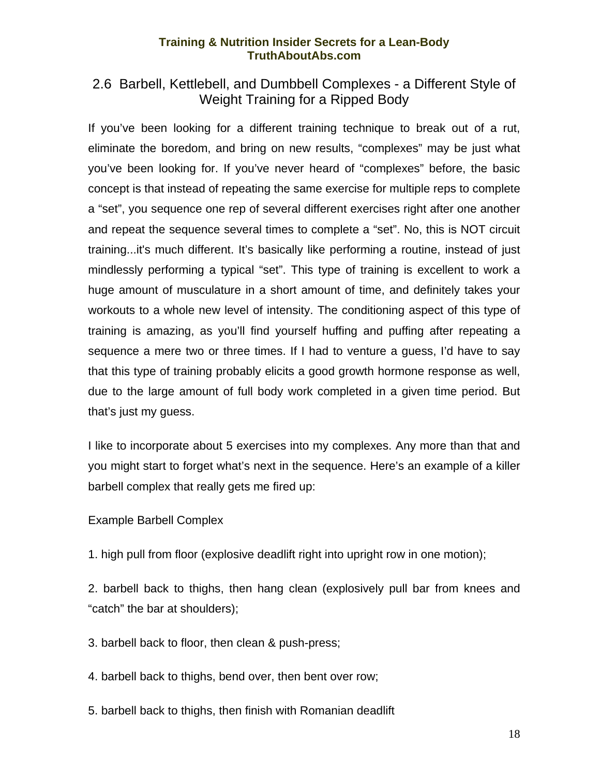## <span id="page-19-0"></span>2.6 Barbell, Kettlebell, and Dumbbell Complexes - a Different Style of Weight Training for a Ripped Body

If you've been looking for a different training technique to break out of a rut, eliminate the boredom, and bring on new results, "complexes" may be just what you've been looking for. If you've never heard of "complexes" before, the basic concept is that instead of repeating the same exercise for multiple reps to complete a "set", you sequence one rep of several different exercises right after one another and repeat the sequence several times to complete a "set". No, this is NOT circuit training...it's much different. It's basically like performing a routine, instead of just mindlessly performing a typical "set". This type of training is excellent to work a huge amount of musculature in a short amount of time, and definitely takes your workouts to a whole new level of intensity. The conditioning aspect of this type of training is amazing, as you'll find yourself huffing and puffing after repeating a sequence a mere two or three times. If I had to venture a guess, I'd have to say that this type of training probably elicits a good growth hormone response as well, due to the large amount of full body work completed in a given time period. But that's just my guess.

I like to incorporate about 5 exercises into my complexes. Any more than that and you might start to forget what's next in the sequence. Here's an example of a killer barbell complex that really gets me fired up:

Example Barbell Complex

1. high pull from floor (explosive deadlift right into upright row in one motion);

2. barbell back to thighs, then hang clean (explosively pull bar from knees and "catch" the bar at shoulders);

3. barbell back to floor, then clean & push-press;

4. barbell back to thighs, bend over, then bent over row;

5. barbell back to thighs, then finish with Romanian deadlift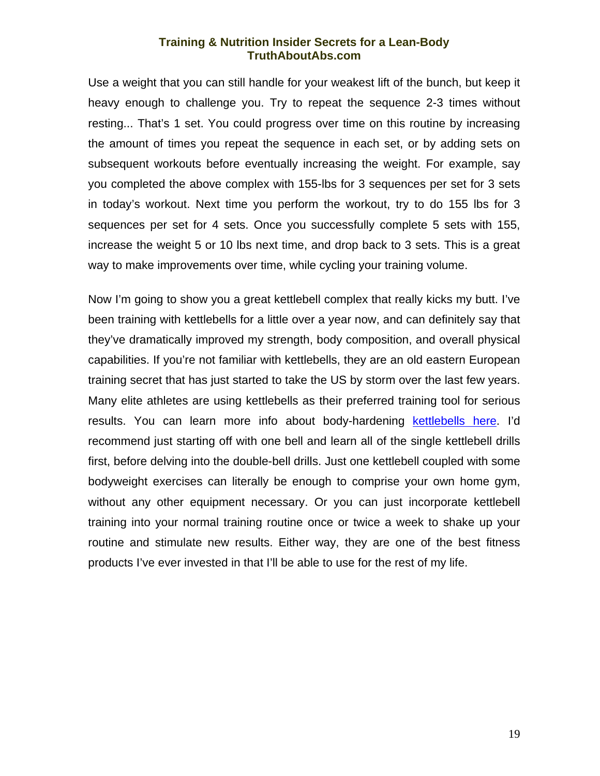Use a weight that you can still handle for your weakest lift of the bunch, but keep it heavy enough to challenge you. Try to repeat the sequence 2-3 times without resting... That's 1 set. You could progress over time on this routine by increasing the amount of times you repeat the sequence in each set, or by adding sets on subsequent workouts before eventually increasing the weight. For example, say you completed the above complex with 155-lbs for 3 sequences per set for 3 sets in today's workout. Next time you perform the workout, try to do 155 lbs for 3 sequences per set for 4 sets. Once you successfully complete 5 sets with 155, increase the weight 5 or 10 lbs next time, and drop back to 3 sets. This is a great way to make improvements over time, while cycling your training volume.

Now I'm going to show you a great kettlebell complex that really kicks my butt. I've been training with kettlebells for a little over a year now, and can definitely say that they've dramatically improved my strength, body composition, and overall physical capabilities. If you're not familiar with kettlebells, they are an old eastern European training secret that has just started to take the US by storm over the last few years. Many elite athletes are using kettlebells as their preferred training tool for serious results. You can learn more info about body-hardening [kettlebells here.](http://www.dragondoor.com/p10.html?kbid=2531) I'd recommend just starting off with one bell and learn all of the single kettlebell drills first, before delving into the double-bell drills. Just one kettlebell coupled with some bodyweight exercises can literally be enough to comprise your own home gym, without any other equipment necessary. Or you can just incorporate kettlebell training into your normal training routine once or twice a week to shake up your routine and stimulate new results. Either way, they are one of the best fitness products I've ever invested in that I'll be able to use for the rest of my life.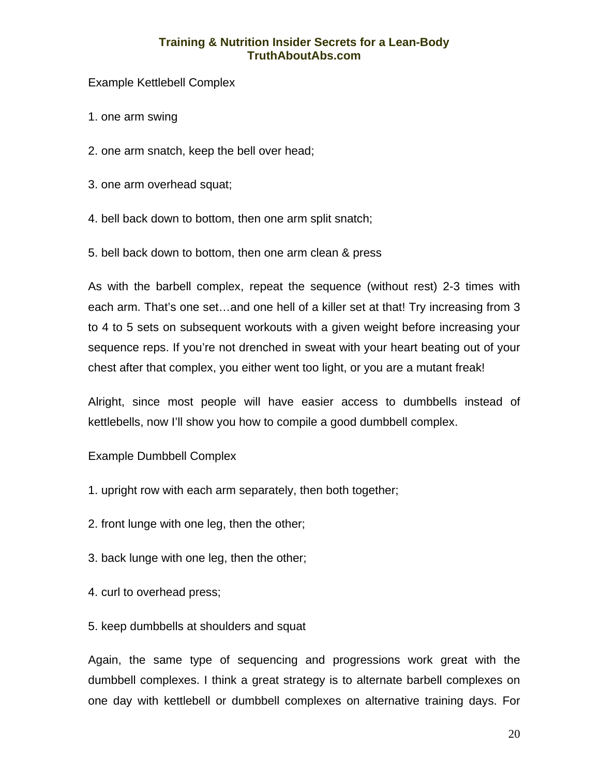Example Kettlebell Complex

1. one arm swing

- 2. one arm snatch, keep the bell over head;
- 3. one arm overhead squat;
- 4. bell back down to bottom, then one arm split snatch;
- 5. bell back down to bottom, then one arm clean & press

As with the barbell complex, repeat the sequence (without rest) 2-3 times with each arm. That's one set...and one hell of a killer set at that! Try increasing from 3 to 4 to 5 sets on subsequent workouts with a given weight before increasing your sequence reps. If you're not drenched in sweat with your heart beating out of your chest after that complex, you either went too light, or you are a mutant freak!

Alright, since most people will have easier access to dumbbells instead of kettlebells, now I'll show you how to compile a good dumbbell complex.

Example Dumbbell Complex

- 1. upright row with each arm separately, then both together;
- 2. front lunge with one leg, then the other;
- 3. back lunge with one leg, then the other;
- 4. curl to overhead press;
- 5. keep dumbbells at shoulders and squat

Again, the same type of sequencing and progressions work great with the dumbbell complexes. I think a great strategy is to alternate barbell complexes on one day with kettlebell or dumbbell complexes on alternative training days. For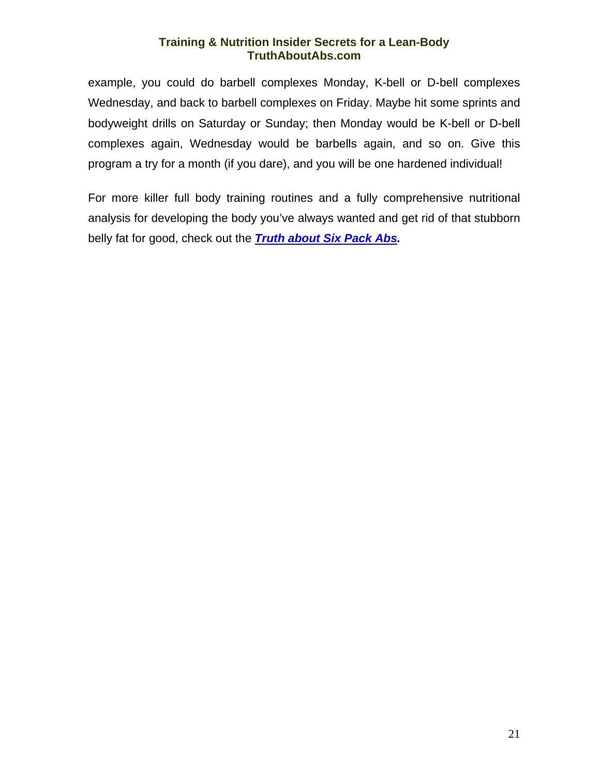example, you could do barbell complexes Monday, K-bell or D-bell complexes Wednesday, and back to barbell complexes on Friday. Maybe hit some sprints and bodyweight drills on Saturday or Sunday; then Monday would be K-bell or D-bell complexes again, Wednesday would be barbells again, and so on. Give this program a try for a month (if you dare), and you will be one hardened individual!

For more killer full body training routines and a fully comprehensive nutritional analysis for developing the body you've always wanted and get rid of that stubborn belly fat for good, check out the *[Truth about Six Pack Abs](http://exercise.mikegeary1.hop.clickbank.net/).*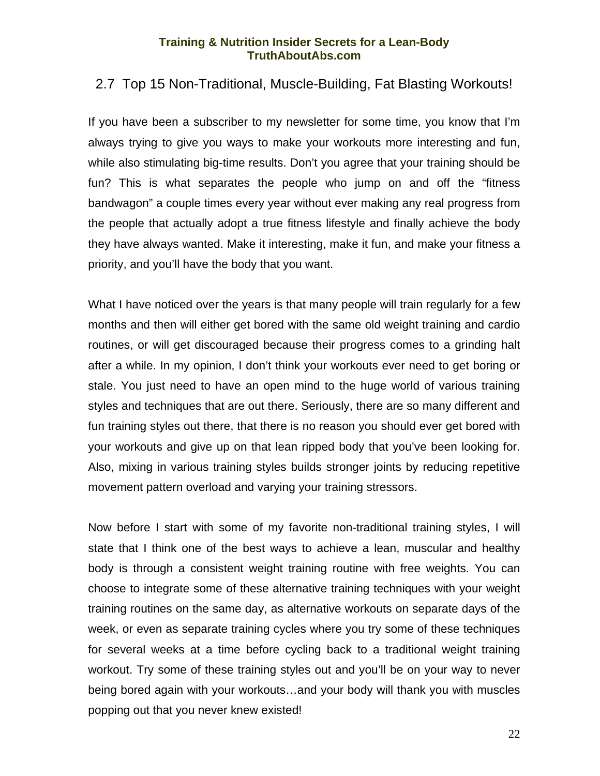## <span id="page-23-0"></span>2.7 Top 15 Non-Traditional, Muscle-Building, Fat Blasting Workouts!

If you have been a subscriber to my newsletter for some time, you know that I'm always trying to give you ways to make your workouts more interesting and fun, while also stimulating big-time results. Don't you agree that your training should be fun? This is what separates the people who jump on and off the "fitness bandwagon" a couple times every year without ever making any real progress from the people that actually adopt a true fitness lifestyle and finally achieve the body they have always wanted. Make it interesting, make it fun, and make your fitness a priority, and you'll have the body that you want.

What I have noticed over the years is that many people will train regularly for a few months and then will either get bored with the same old weight training and cardio routines, or will get discouraged because their progress comes to a grinding halt after a while. In my opinion, I don't think your workouts ever need to get boring or stale. You just need to have an open mind to the huge world of various training styles and techniques that are out there. Seriously, there are so many different and fun training styles out there, that there is no reason you should ever get bored with your workouts and give up on that lean ripped body that you've been looking for. Also, mixing in various training styles builds stronger joints by reducing repetitive movement pattern overload and varying your training stressors.

Now before I start with some of my favorite non-traditional training styles, I will state that I think one of the best ways to achieve a lean, muscular and healthy body is through a consistent weight training routine with free weights. You can choose to integrate some of these alternative training techniques with your weight training routines on the same day, as alternative workouts on separate days of the week, or even as separate training cycles where you try some of these techniques for several weeks at a time before cycling back to a traditional weight training workout. Try some of these training styles out and you'll be on your way to never being bored again with your workouts…and your body will thank you with muscles popping out that you never knew existed!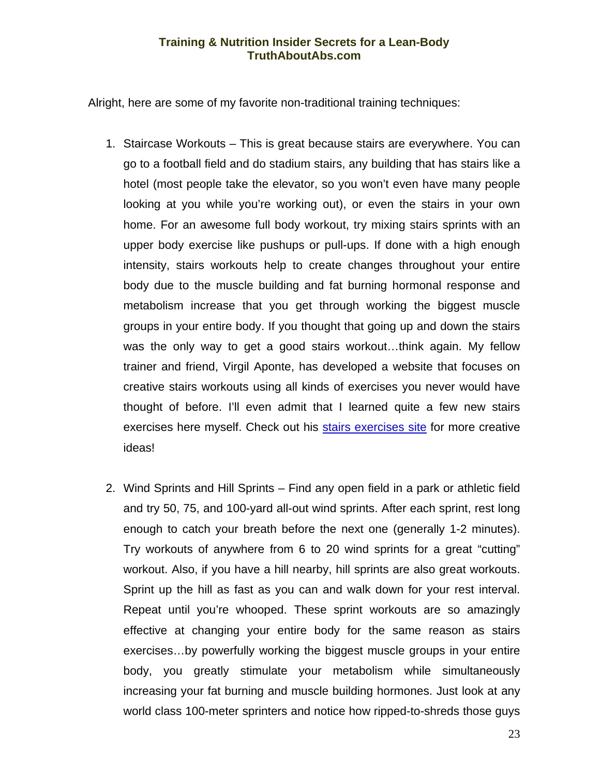Alright, here are some of my favorite non-traditional training techniques:

- 1. Staircase Workouts This is great because stairs are everywhere. You can go to a football field and do stadium stairs, any building that has stairs like a hotel (most people take the elevator, so you won't even have many people looking at you while you're working out), or even the stairs in your own home. For an awesome full body workout, try mixing stairs sprints with an upper body exercise like pushups or pull-ups. If done with a high enough intensity, stairs workouts help to create changes throughout your entire body due to the muscle building and fat burning hormonal response and metabolism increase that you get through working the biggest muscle groups in your entire body. If you thought that going up and down the stairs was the only way to get a good stairs workout…think again. My fellow trainer and friend, Virgil Aponte, has developed a website that focuses on creative stairs workouts using all kinds of exercises you never would have thought of before. I'll even admit that I learned quite a few new stairs exercises here myself. Check out his [stairs exercises site](http://www.1shoppingcart.com/app/?Clk=1770167) for more creative ideas!
- 2. Wind Sprints and Hill Sprints Find any open field in a park or athletic field and try 50, 75, and 100-yard all-out wind sprints. After each sprint, rest long enough to catch your breath before the next one (generally 1-2 minutes). Try workouts of anywhere from 6 to 20 wind sprints for a great "cutting" workout. Also, if you have a hill nearby, hill sprints are also great workouts. Sprint up the hill as fast as you can and walk down for your rest interval. Repeat until you're whooped. These sprint workouts are so amazingly effective at changing your entire body for the same reason as stairs exercises…by powerfully working the biggest muscle groups in your entire body, you greatly stimulate your metabolism while simultaneously increasing your fat burning and muscle building hormones. Just look at any world class 100-meter sprinters and notice how ripped-to-shreds those guys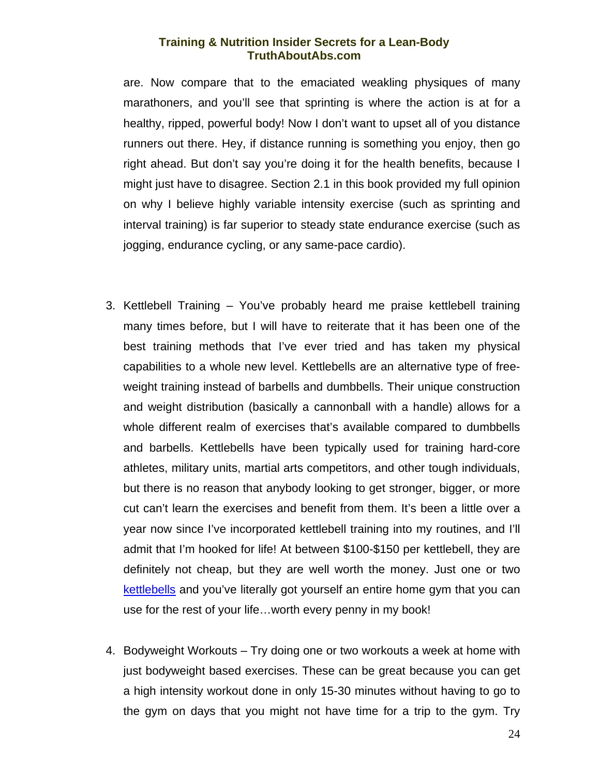are. Now compare that to the emaciated weakling physiques of many marathoners, and you'll see that sprinting is where the action is at for a healthy, ripped, powerful body! Now I don't want to upset all of you distance runners out there. Hey, if distance running is something you enjoy, then go right ahead. But don't say you're doing it for the health benefits, because I might just have to disagree. Section 2.1 in this book provided my full opinion on why I believe highly variable intensity exercise (such as sprinting and interval training) is far superior to steady state endurance exercise (such as jogging, endurance cycling, or any same-pace cardio).

- 3. Kettlebell Training You've probably heard me praise kettlebell training many times before, but I will have to reiterate that it has been one of the best training methods that I've ever tried and has taken my physical capabilities to a whole new level. Kettlebells are an alternative type of freeweight training instead of barbells and dumbbells. Their unique construction and weight distribution (basically a cannonball with a handle) allows for a whole different realm of exercises that's available compared to dumbbells and barbells. Kettlebells have been typically used for training hard-core athletes, military units, martial arts competitors, and other tough individuals, but there is no reason that anybody looking to get stronger, bigger, or more cut can't learn the exercises and benefit from them. It's been a little over a year now since I've incorporated kettlebell training into my routines, and I'll admit that I'm hooked for life! At between \$100-\$150 per kettlebell, they are definitely not cheap, but they are well worth the money. Just one or two [kettlebells](http://www.dragondoor.com/p10.html?kbid=2531) and you've literally got yourself an entire home gym that you can use for the rest of your life…worth every penny in my book!
- 4. Bodyweight Workouts Try doing one or two workouts a week at home with just bodyweight based exercises. These can be great because you can get a high intensity workout done in only 15-30 minutes without having to go to the gym on days that you might not have time for a trip to the gym. Try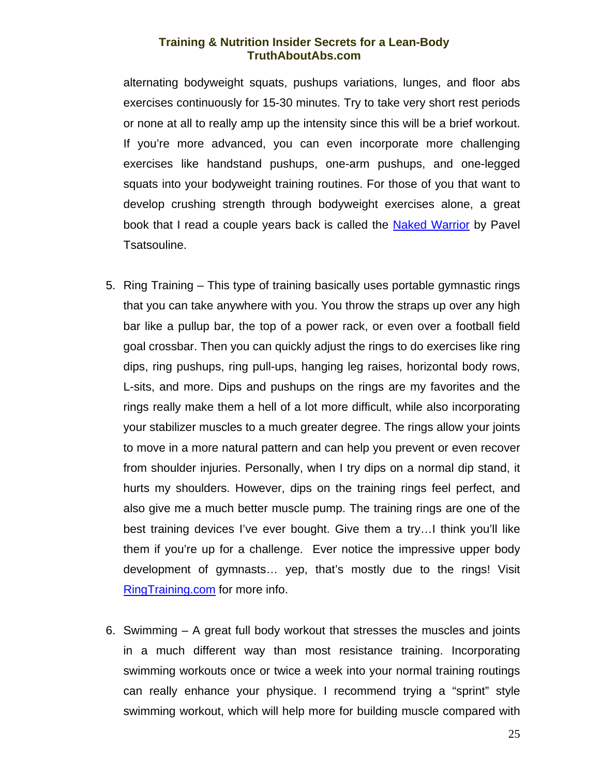alternating bodyweight squats, pushups variations, lunges, and floor abs exercises continuously for 15-30 minutes. Try to take very short rest periods or none at all to really amp up the intensity since this will be a brief workout. If you're more advanced, you can even incorporate more challenging exercises like handstand pushups, one-arm pushups, and one-legged squats into your bodyweight training routines. For those of you that want to develop crushing strength through bodyweight exercises alone, a great book that I read a couple years back is called the Naked Warrior by Pavel Tsatsouline.

- 5. Ring Training This type of training basically uses portable gymnastic rings that you can take anywhere with you. You throw the straps up over any high bar like a pullup bar, the top of a power rack, or even over a football field goal crossbar. Then you can quickly adjust the rings to do exercises like ring dips, ring pushups, ring pull-ups, hanging leg raises, horizontal body rows, L-sits, and more. Dips and pushups on the rings are my favorites and the rings really make them a hell of a lot more difficult, while also incorporating your stabilizer muscles to a much greater degree. The rings allow your joints to move in a more natural pattern and can help you prevent or even recover from shoulder injuries. Personally, when I try dips on a normal dip stand, it hurts my shoulders. However, dips on the training rings feel perfect, and also give me a much better muscle pump. The training rings are one of the best training devices I've ever bought. Give them a try…I think you'll like them if you're up for a challenge. Ever notice the impressive upper body development of gymnasts… yep, that's mostly due to the rings! Visit [RingTraining.com](http://www.ringtraining.com/cgi-bin/affiliates/clickthru.cgi?id=mikegeary) for more info.
- 6. Swimming A great full body workout that stresses the muscles and joints in a much different way than most resistance training. Incorporating swimming workouts once or twice a week into your normal training routings can really enhance your physique. I recommend trying a "sprint" style swimming workout, which will help more for building muscle compared with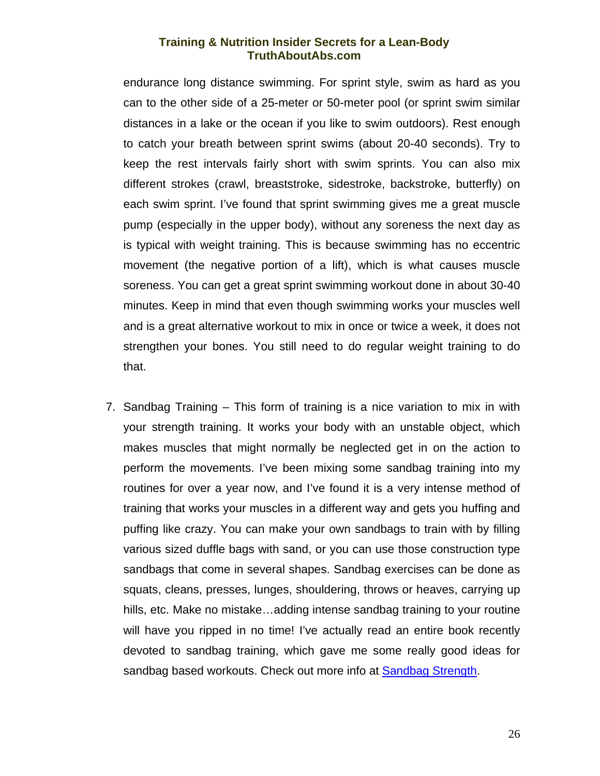endurance long distance swimming. For sprint style, swim as hard as you can to the other side of a 25-meter or 50-meter pool (or sprint swim similar distances in a lake or the ocean if you like to swim outdoors). Rest enough to catch your breath between sprint swims (about 20-40 seconds). Try to keep the rest intervals fairly short with swim sprints. You can also mix different strokes (crawl, breaststroke, sidestroke, backstroke, butterfly) on each swim sprint. I've found that sprint swimming gives me a great muscle pump (especially in the upper body), without any soreness the next day as is typical with weight training. This is because swimming has no eccentric movement (the negative portion of a lift), which is what causes muscle soreness. You can get a great sprint swimming workout done in about 30-40 minutes. Keep in mind that even though swimming works your muscles well and is a great alternative workout to mix in once or twice a week, it does not strengthen your bones. You still need to do regular weight training to do that.

7. Sandbag Training – This form of training is a nice variation to mix in with your strength training. It works your body with an unstable object, which makes muscles that might normally be neglected get in on the action to perform the movements. I've been mixing some sandbag training into my routines for over a year now, and I've found it is a very intense method of training that works your muscles in a different way and gets you huffing and puffing like crazy. You can make your own sandbags to train with by filling various sized duffle bags with sand, or you can use those construction type sandbags that come in several shapes. Sandbag exercises can be done as squats, cleans, presses, lunges, shouldering, throws or heaves, carrying up hills, etc. Make no mistake…adding intense sandbag training to your routine will have you ripped in no time! I've actually read an entire book recently devoted to sandbag training, which gave me some really good ideas for sandbag based workouts. Check out more info at [Sandbag Strength.](http://m231g.sandbag.hop.clickbank.net/)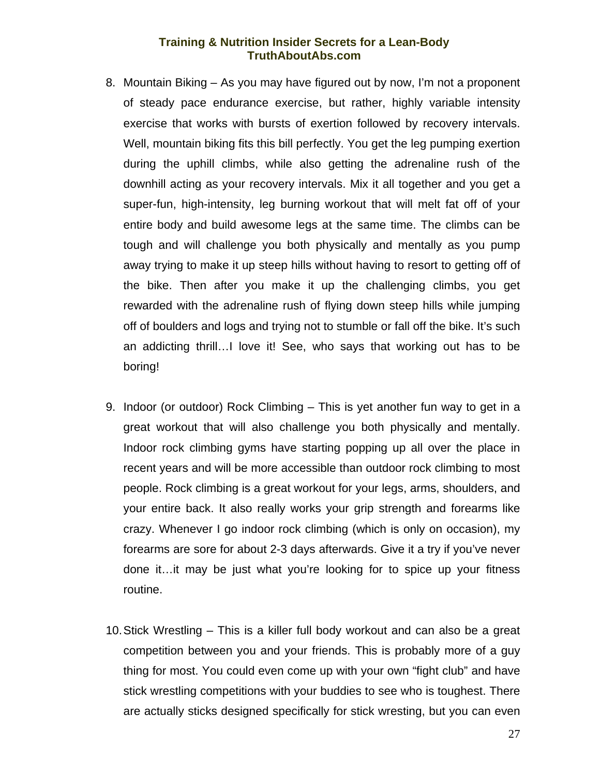- 8. Mountain Biking As you may have figured out by now, I'm not a proponent of steady pace endurance exercise, but rather, highly variable intensity exercise that works with bursts of exertion followed by recovery intervals. Well, mountain biking fits this bill perfectly. You get the leg pumping exertion during the uphill climbs, while also getting the adrenaline rush of the downhill acting as your recovery intervals. Mix it all together and you get a super-fun, high-intensity, leg burning workout that will melt fat off of your entire body and build awesome legs at the same time. The climbs can be tough and will challenge you both physically and mentally as you pump away trying to make it up steep hills without having to resort to getting off of the bike. Then after you make it up the challenging climbs, you get rewarded with the adrenaline rush of flying down steep hills while jumping off of boulders and logs and trying not to stumble or fall off the bike. It's such an addicting thrill…I love it! See, who says that working out has to be boring!
- 9. Indoor (or outdoor) Rock Climbing This is yet another fun way to get in a great workout that will also challenge you both physically and mentally. Indoor rock climbing gyms have starting popping up all over the place in recent years and will be more accessible than outdoor rock climbing to most people. Rock climbing is a great workout for your legs, arms, shoulders, and your entire back. It also really works your grip strength and forearms like crazy. Whenever I go indoor rock climbing (which is only on occasion), my forearms are sore for about 2-3 days afterwards. Give it a try if you've never done it…it may be just what you're looking for to spice up your fitness routine.
- 10. Stick Wrestling This is a killer full body workout and can also be a great competition between you and your friends. This is probably more of a guy thing for most. You could even come up with your own "fight club" and have stick wrestling competitions with your buddies to see who is toughest. There are actually sticks designed specifically for stick wresting, but you can even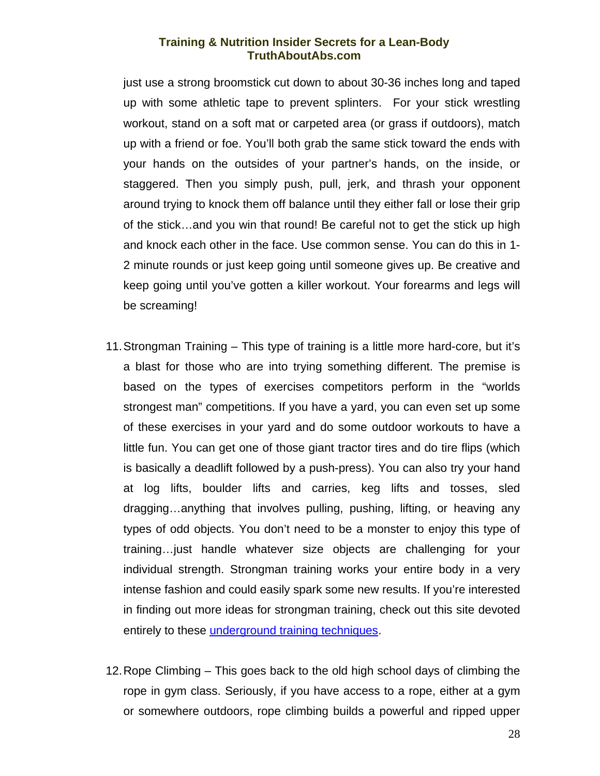just use a strong broomstick cut down to about 30-36 inches long and taped up with some athletic tape to prevent splinters. For your stick wrestling workout, stand on a soft mat or carpeted area (or grass if outdoors), match up with a friend or foe. You'll both grab the same stick toward the ends with your hands on the outsides of your partner's hands, on the inside, or staggered. Then you simply push, pull, jerk, and thrash your opponent around trying to knock them off balance until they either fall or lose their grip of the stick…and you win that round! Be careful not to get the stick up high and knock each other in the face. Use common sense. You can do this in 1- 2 minute rounds or just keep going until someone gives up. Be creative and keep going until you've gotten a killer workout. Your forearms and legs will be screaming!

- 11. Strongman Training This type of training is a little more hard-core, but it's a blast for those who are into trying something different. The premise is based on the types of exercises competitors perform in the "worlds strongest man" competitions. If you have a yard, you can even set up some of these exercises in your yard and do some outdoor workouts to have a little fun. You can get one of those giant tractor tires and do tire flips (which is basically a deadlift followed by a push-press). You can also try your hand at log lifts, boulder lifts and carries, keg lifts and tosses, sled dragging…anything that involves pulling, pushing, lifting, or heaving any types of odd objects. You don't need to be a monster to enjoy this type of training…just handle whatever size objects are challenging for your individual strength. Strongman training works your entire body in a very intense fashion and could easily spark some new results. If you're interested in finding out more ideas for strongman training, check out this site devoted entirely to these *underground training techniques*.
- 12. Rope Climbing This goes back to the old high school days of climbing the rope in gym class. Seriously, if you have access to a rope, either at a gym or somewhere outdoors, rope climbing builds a powerful and ripped upper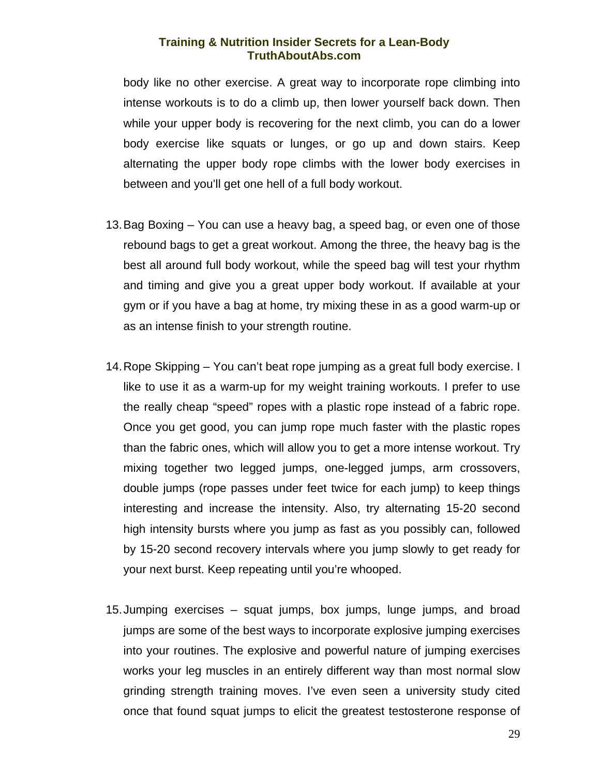body like no other exercise. A great way to incorporate rope climbing into intense workouts is to do a climb up, then lower yourself back down. Then while your upper body is recovering for the next climb, you can do a lower body exercise like squats or lunges, or go up and down stairs. Keep alternating the upper body rope climbs with the lower body exercises in between and you'll get one hell of a full body workout.

- 13. Bag Boxing You can use a heavy bag, a speed bag, or even one of those rebound bags to get a great workout. Among the three, the heavy bag is the best all around full body workout, while the speed bag will test your rhythm and timing and give you a great upper body workout. If available at your gym or if you have a bag at home, try mixing these in as a good warm-up or as an intense finish to your strength routine.
- 14. Rope Skipping You can't beat rope jumping as a great full body exercise. I like to use it as a warm-up for my weight training workouts. I prefer to use the really cheap "speed" ropes with a plastic rope instead of a fabric rope. Once you get good, you can jump rope much faster with the plastic ropes than the fabric ones, which will allow you to get a more intense workout. Try mixing together two legged jumps, one-legged jumps, arm crossovers, double jumps (rope passes under feet twice for each jump) to keep things interesting and increase the intensity. Also, try alternating 15-20 second high intensity bursts where you jump as fast as you possibly can, followed by 15-20 second recovery intervals where you jump slowly to get ready for your next burst. Keep repeating until you're whooped.
- 15. Jumping exercises squat jumps, box jumps, lunge jumps, and broad jumps are some of the best ways to incorporate explosive jumping exercises into your routines. The explosive and powerful nature of jumping exercises works your leg muscles in an entirely different way than most normal slow grinding strength training moves. I've even seen a university study cited once that found squat jumps to elicit the greatest testosterone response of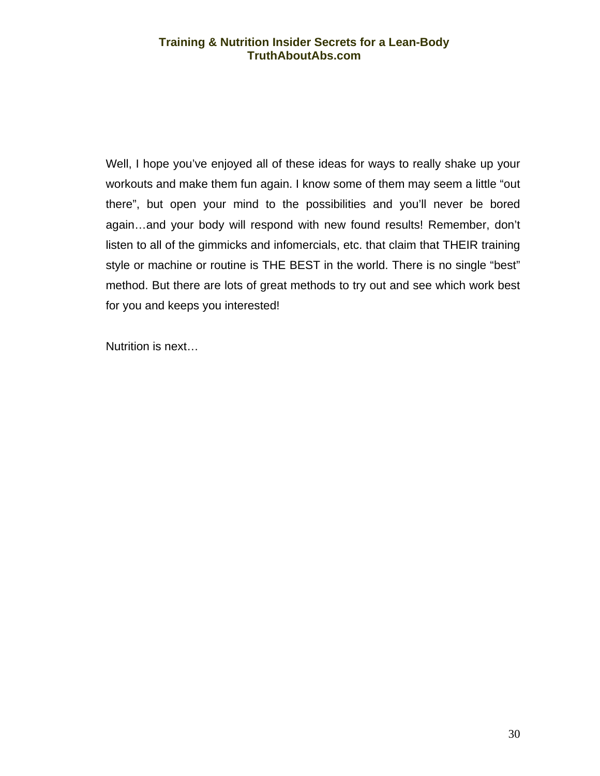Well, I hope you've enjoyed all of these ideas for ways to really shake up your workouts and make them fun again. I know some of them may seem a little "out there", but open your mind to the possibilities and you'll never be bored again…and your body will respond with new found results! Remember, don't listen to all of the gimmicks and infomercials, etc. that claim that THEIR training style or machine or routine is THE BEST in the world. There is no single "best" method. But there are lots of great methods to try out and see which work best for you and keeps you interested!

Nutrition is next…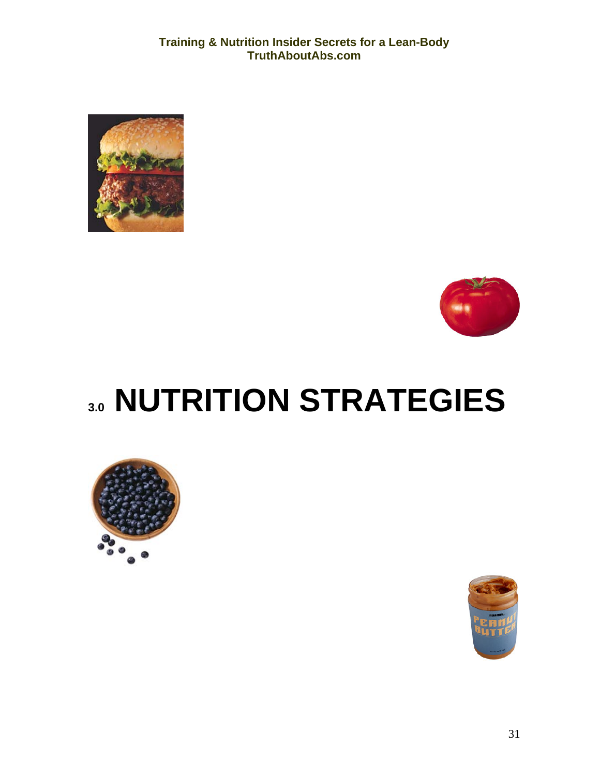<span id="page-32-0"></span>



# **3.0 NUTRITION STRATEGIES**



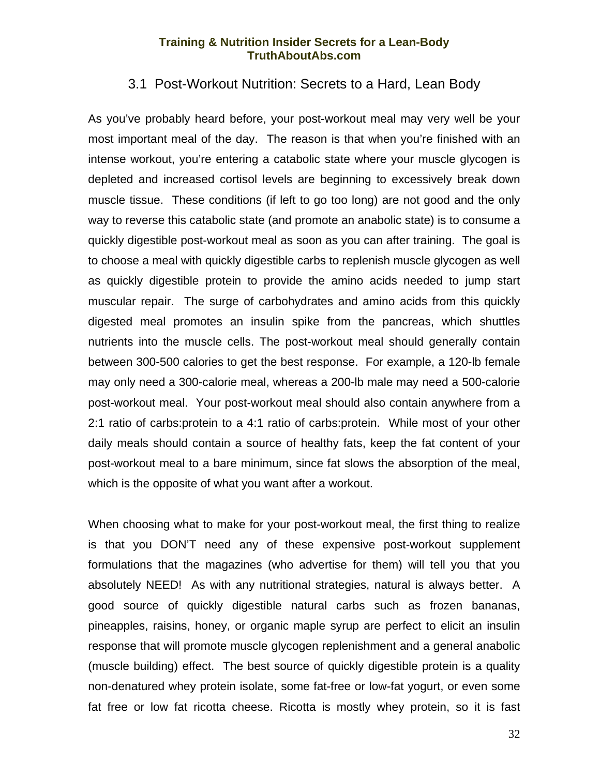## 3.1 Post-Workout Nutrition: Secrets to a Hard, Lean Body

<span id="page-33-0"></span>As you've probably heard before, your post-workout meal may very well be your most important meal of the day. The reason is that when you're finished with an intense workout, you're entering a catabolic state where your muscle glycogen is depleted and increased cortisol levels are beginning to excessively break down muscle tissue. These conditions (if left to go too long) are not good and the only way to reverse this catabolic state (and promote an anabolic state) is to consume a quickly digestible post-workout meal as soon as you can after training. The goal is to choose a meal with quickly digestible carbs to replenish muscle glycogen as well as quickly digestible protein to provide the amino acids needed to jump start muscular repair. The surge of carbohydrates and amino acids from this quickly digested meal promotes an insulin spike from the pancreas, which shuttles nutrients into the muscle cells. The post-workout meal should generally contain between 300-500 calories to get the best response. For example, a 120-lb female may only need a 300-calorie meal, whereas a 200-lb male may need a 500-calorie post-workout meal. Your post-workout meal should also contain anywhere from a 2:1 ratio of carbs:protein to a 4:1 ratio of carbs:protein. While most of your other daily meals should contain a source of healthy fats, keep the fat content of your post-workout meal to a bare minimum, since fat slows the absorption of the meal, which is the opposite of what you want after a workout.

When choosing what to make for your post-workout meal, the first thing to realize is that you DON'T need any of these expensive post-workout supplement formulations that the magazines (who advertise for them) will tell you that you absolutely NEED! As with any nutritional strategies, natural is always better. A good source of quickly digestible natural carbs such as frozen bananas, pineapples, raisins, honey, or organic maple syrup are perfect to elicit an insulin response that will promote muscle glycogen replenishment and a general anabolic (muscle building) effect. The best source of quickly digestible protein is a quality non-denatured whey protein isolate, some fat-free or low-fat yogurt, or even some fat free or low fat ricotta cheese. Ricotta is mostly whey protein, so it is fast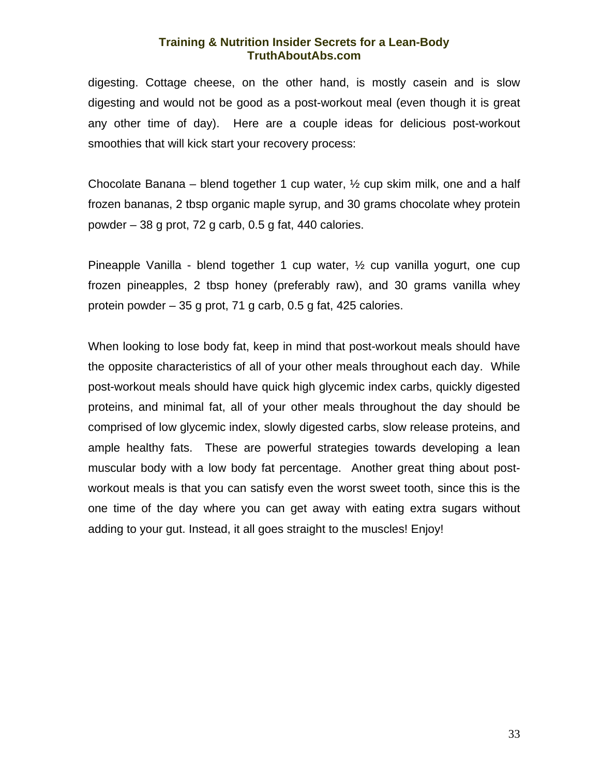digesting. Cottage cheese, on the other hand, is mostly casein and is slow digesting and would not be good as a post-workout meal (even though it is great any other time of day). Here are a couple ideas for delicious post-workout smoothies that will kick start your recovery process:

Chocolate Banana – blend together 1 cup water,  $\frac{1}{2}$  cup skim milk, one and a half frozen bananas, 2 tbsp organic maple syrup, and 30 grams chocolate whey protein powder – 38 g prot, 72 g carb, 0.5 g fat, 440 calories.

Pineapple Vanilla - blend together 1 cup water, ½ cup vanilla yogurt, one cup frozen pineapples, 2 tbsp honey (preferably raw), and 30 grams vanilla whey protein powder – 35 g prot, 71 g carb, 0.5 g fat, 425 calories.

When looking to lose body fat, keep in mind that post-workout meals should have the opposite characteristics of all of your other meals throughout each day. While post-workout meals should have quick high glycemic index carbs, quickly digested proteins, and minimal fat, all of your other meals throughout the day should be comprised of low glycemic index, slowly digested carbs, slow release proteins, and ample healthy fats. These are powerful strategies towards developing a lean muscular body with a low body fat percentage. Another great thing about postworkout meals is that you can satisfy even the worst sweet tooth, since this is the one time of the day where you can get away with eating extra sugars without adding to your gut. Instead, it all goes straight to the muscles! Enjoy!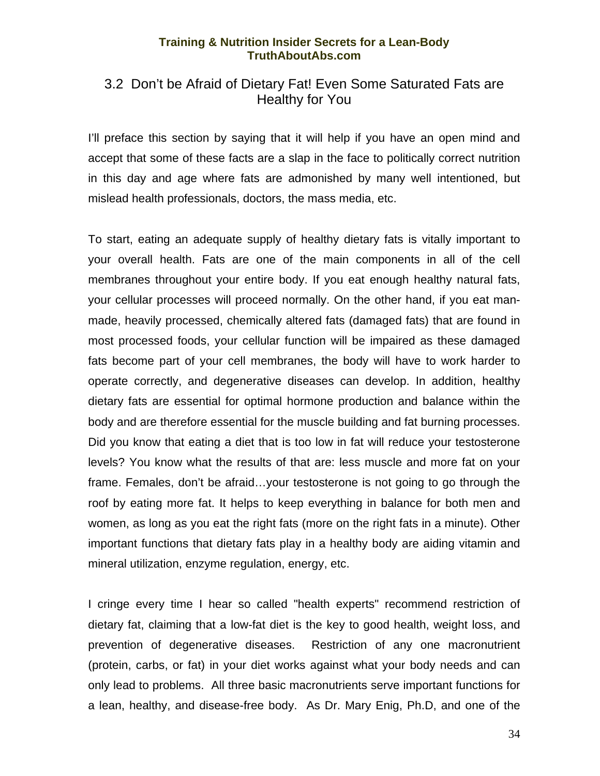## <span id="page-35-0"></span>3.2 Don't be Afraid of Dietary Fat! Even Some Saturated Fats are Healthy for You

I'll preface this section by saying that it will help if you have an open mind and accept that some of these facts are a slap in the face to politically correct nutrition in this day and age where fats are admonished by many well intentioned, but mislead health professionals, doctors, the mass media, etc.

To start, eating an adequate supply of healthy dietary fats is vitally important to your overall health. Fats are one of the main components in all of the cell membranes throughout your entire body. If you eat enough healthy natural fats, your cellular processes will proceed normally. On the other hand, if you eat manmade, heavily processed, chemically altered fats (damaged fats) that are found in most processed foods, your cellular function will be impaired as these damaged fats become part of your cell membranes, the body will have to work harder to operate correctly, and degenerative diseases can develop. In addition, healthy dietary fats are essential for optimal hormone production and balance within the body and are therefore essential for the muscle building and fat burning processes. Did you know that eating a diet that is too low in fat will reduce your testosterone levels? You know what the results of that are: less muscle and more fat on your frame. Females, don't be afraid…your testosterone is not going to go through the roof by eating more fat. It helps to keep everything in balance for both men and women, as long as you eat the right fats (more on the right fats in a minute). Other important functions that dietary fats play in a healthy body are aiding vitamin and mineral utilization, enzyme regulation, energy, etc.

I cringe every time I hear so called "health experts" recommend restriction of dietary fat, claiming that a low-fat diet is the key to good health, weight loss, and prevention of degenerative diseases. Restriction of any one macronutrient (protein, carbs, or fat) in your diet works against what your body needs and can only lead to problems. All three basic macronutrients serve important functions for a lean, healthy, and disease-free body. As Dr. Mary Enig, Ph.D, and one of the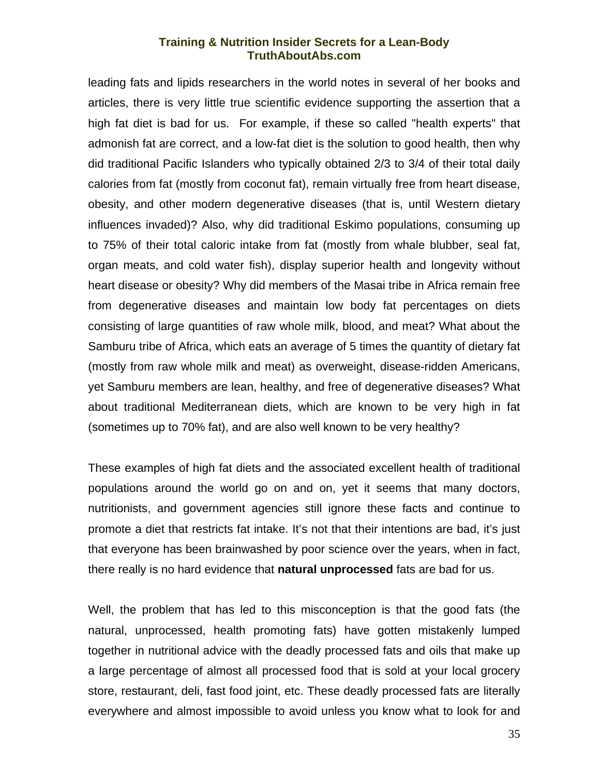leading fats and lipids researchers in the world notes in several of her books and articles, there is very little true scientific evidence supporting the assertion that a high fat diet is bad for us. For example, if these so called "health experts" that admonish fat are correct, and a low-fat diet is the solution to good health, then why did traditional Pacific Islanders who typically obtained 2/3 to 3/4 of their total daily calories from fat (mostly from coconut fat), remain virtually free from heart disease, obesity, and other modern degenerative diseases (that is, until Western dietary influences invaded)? Also, why did traditional Eskimo populations, consuming up to 75% of their total caloric intake from fat (mostly from whale blubber, seal fat, organ meats, and cold water fish), display superior health and longevity without heart disease or obesity? Why did members of the Masai tribe in Africa remain free from degenerative diseases and maintain low body fat percentages on diets consisting of large quantities of raw whole milk, blood, and meat? What about the Samburu tribe of Africa, which eats an average of 5 times the quantity of dietary fat (mostly from raw whole milk and meat) as overweight, disease-ridden Americans, yet Samburu members are lean, healthy, and free of degenerative diseases? What about traditional Mediterranean diets, which are known to be very high in fat (sometimes up to 70% fat), and are also well known to be very healthy?

These examples of high fat diets and the associated excellent health of traditional populations around the world go on and on, yet it seems that many doctors, nutritionists, and government agencies still ignore these facts and continue to promote a diet that restricts fat intake. It's not that their intentions are bad, it's just that everyone has been brainwashed by poor science over the years, when in fact, there really is no hard evidence that **natural unprocessed** fats are bad for us.

Well, the problem that has led to this misconception is that the good fats (the natural, unprocessed, health promoting fats) have gotten mistakenly lumped together in nutritional advice with the deadly processed fats and oils that make up a large percentage of almost all processed food that is sold at your local grocery store, restaurant, deli, fast food joint, etc. These deadly processed fats are literally everywhere and almost impossible to avoid unless you know what to look for and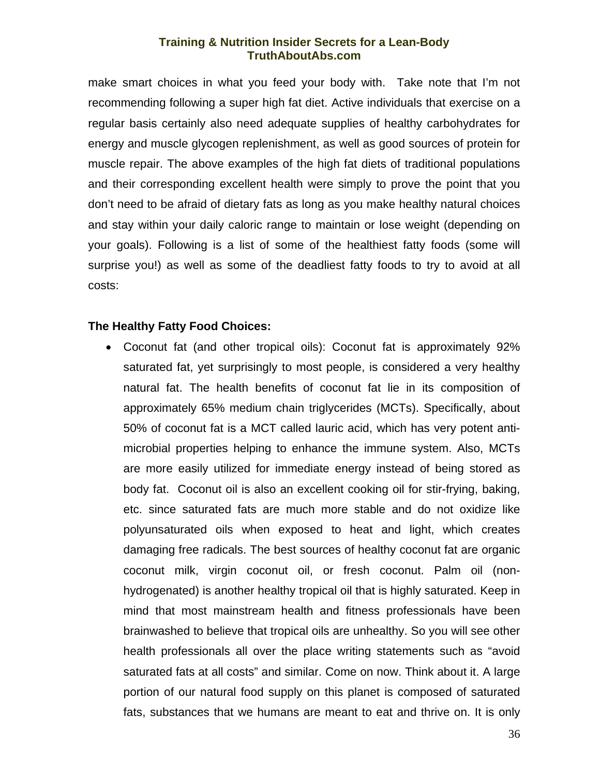make smart choices in what you feed your body with. Take note that I'm not recommending following a super high fat diet. Active individuals that exercise on a regular basis certainly also need adequate supplies of healthy carbohydrates for energy and muscle glycogen replenishment, as well as good sources of protein for muscle repair. The above examples of the high fat diets of traditional populations and their corresponding excellent health were simply to prove the point that you don't need to be afraid of dietary fats as long as you make healthy natural choices and stay within your daily caloric range to maintain or lose weight (depending on your goals). Following is a list of some of the healthiest fatty foods (some will surprise you!) as well as some of the deadliest fatty foods to try to avoid at all costs:

#### **The Healthy Fatty Food Choices:**

• Coconut fat (and other tropical oils): Coconut fat is approximately 92% saturated fat, yet surprisingly to most people, is considered a very healthy natural fat. The health benefits of coconut fat lie in its composition of approximately 65% medium chain triglycerides (MCTs). Specifically, about 50% of coconut fat is a MCT called lauric acid, which has very potent antimicrobial properties helping to enhance the immune system. Also, MCTs are more easily utilized for immediate energy instead of being stored as body fat. Coconut oil is also an excellent cooking oil for stir-frying, baking, etc. since saturated fats are much more stable and do not oxidize like polyunsaturated oils when exposed to heat and light, which creates damaging free radicals. The best sources of healthy coconut fat are organic coconut milk, virgin coconut oil, or fresh coconut. Palm oil (nonhydrogenated) is another healthy tropical oil that is highly saturated. Keep in mind that most mainstream health and fitness professionals have been brainwashed to believe that tropical oils are unhealthy. So you will see other health professionals all over the place writing statements such as "avoid saturated fats at all costs" and similar. Come on now. Think about it. A large portion of our natural food supply on this planet is composed of saturated fats, substances that we humans are meant to eat and thrive on. It is only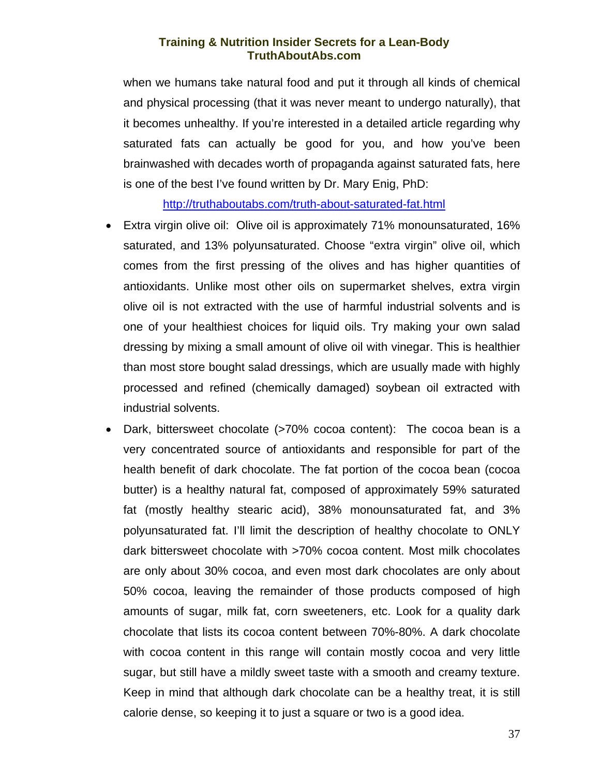when we humans take natural food and put it through all kinds of chemical and physical processing (that it was never meant to undergo naturally), that it becomes unhealthy. If you're interested in a detailed article regarding why saturated fats can actually be good for you, and how you've been brainwashed with decades worth of propaganda against saturated fats, here is one of the best I've found written by Dr. Mary Enig, PhD:

<http://truthaboutabs.com/truth-about-saturated-fat.html>

- Extra virgin olive oil: Olive oil is approximately 71% monounsaturated, 16% saturated, and 13% polyunsaturated. Choose "extra virgin" olive oil, which comes from the first pressing of the olives and has higher quantities of antioxidants. Unlike most other oils on supermarket shelves, extra virgin olive oil is not extracted with the use of harmful industrial solvents and is one of your healthiest choices for liquid oils. Try making your own salad dressing by mixing a small amount of olive oil with vinegar. This is healthier than most store bought salad dressings, which are usually made with highly processed and refined (chemically damaged) soybean oil extracted with industrial solvents.
- Dark, bittersweet chocolate (>70% cocoa content): The cocoa bean is a very concentrated source of antioxidants and responsible for part of the health benefit of dark chocolate. The fat portion of the cocoa bean (cocoa butter) is a healthy natural fat, composed of approximately 59% saturated fat (mostly healthy stearic acid), 38% monounsaturated fat, and 3% polyunsaturated fat. I'll limit the description of healthy chocolate to ONLY dark bittersweet chocolate with >70% cocoa content. Most milk chocolates are only about 30% cocoa, and even most dark chocolates are only about 50% cocoa, leaving the remainder of those products composed of high amounts of sugar, milk fat, corn sweeteners, etc. Look for a quality dark chocolate that lists its cocoa content between 70%-80%. A dark chocolate with cocoa content in this range will contain mostly cocoa and very little sugar, but still have a mildly sweet taste with a smooth and creamy texture. Keep in mind that although dark chocolate can be a healthy treat, it is still calorie dense, so keeping it to just a square or two is a good idea.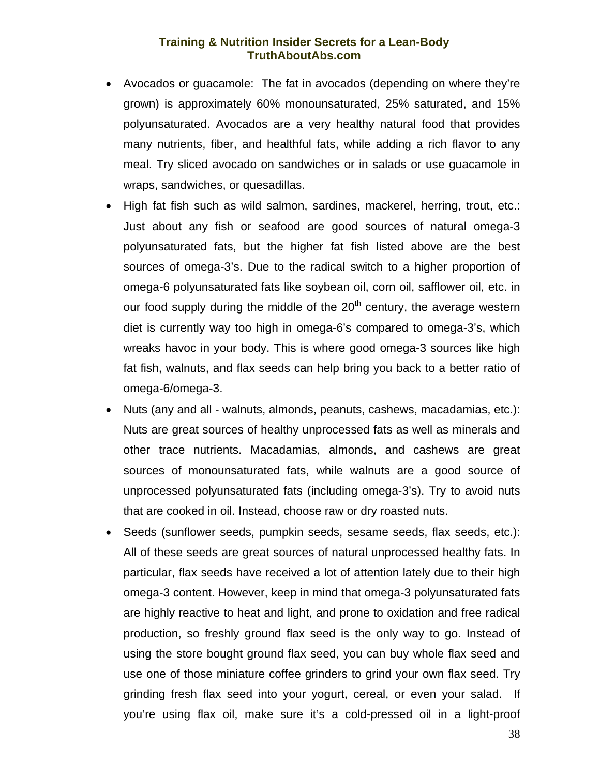- Avocados or guacamole: The fat in avocados (depending on where they're grown) is approximately 60% monounsaturated, 25% saturated, and 15% polyunsaturated. Avocados are a very healthy natural food that provides many nutrients, fiber, and healthful fats, while adding a rich flavor to any meal. Try sliced avocado on sandwiches or in salads or use guacamole in wraps, sandwiches, or quesadillas.
- High fat fish such as wild salmon, sardines, mackerel, herring, trout, etc.: Just about any fish or seafood are good sources of natural omega-3 polyunsaturated fats, but the higher fat fish listed above are the best sources of omega-3's. Due to the radical switch to a higher proportion of omega-6 polyunsaturated fats like soybean oil, corn oil, safflower oil, etc. in our food supply during the middle of the  $20<sup>th</sup>$  century, the average western diet is currently way too high in omega-6's compared to omega-3's, which wreaks havoc in your body. This is where good omega-3 sources like high fat fish, walnuts, and flax seeds can help bring you back to a better ratio of omega-6/omega-3.
- Nuts (any and all walnuts, almonds, peanuts, cashews, macadamias, etc.): Nuts are great sources of healthy unprocessed fats as well as minerals and other trace nutrients. Macadamias, almonds, and cashews are great sources of monounsaturated fats, while walnuts are a good source of unprocessed polyunsaturated fats (including omega-3's). Try to avoid nuts that are cooked in oil. Instead, choose raw or dry roasted nuts.
- Seeds (sunflower seeds, pumpkin seeds, sesame seeds, flax seeds, etc.): All of these seeds are great sources of natural unprocessed healthy fats. In particular, flax seeds have received a lot of attention lately due to their high omega-3 content. However, keep in mind that omega-3 polyunsaturated fats are highly reactive to heat and light, and prone to oxidation and free radical production, so freshly ground flax seed is the only way to go. Instead of using the store bought ground flax seed, you can buy whole flax seed and use one of those miniature coffee grinders to grind your own flax seed. Try grinding fresh flax seed into your yogurt, cereal, or even your salad. If you're using flax oil, make sure it's a cold-pressed oil in a light-proof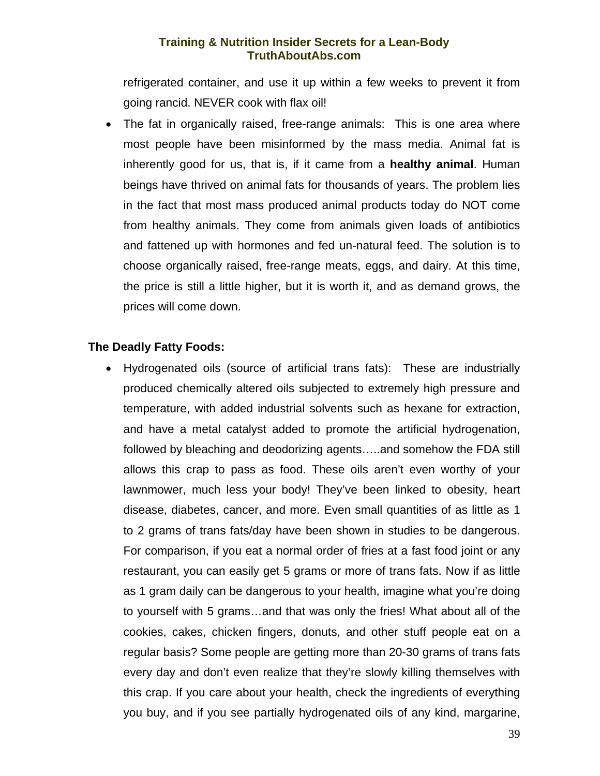refrigerated container, and use it up within a few weeks to prevent it from going rancid. NEVER cook with flax oil!

The fat in organically raised, free-range animals: This is one area where most people have been misinformed by the mass media. Animal fat is inherently good for us, that is, if it came from a **healthy animal**. Human beings have thrived on animal fats for thousands of years. The problem lies in the fact that most mass produced animal products today do NOT come from healthy animals. They come from animals given loads of antibiotics and fattened up with hormones and fed un-natural feed. The solution is to choose organically raised, free-range meats, eggs, and dairy. At this time, the price is still a little higher, but it is worth it, and as demand grows, the prices will come down.

#### **The Deadly Fatty Foods:**

• Hydrogenated oils (source of artificial trans fats): These are industrially produced chemically altered oils subjected to extremely high pressure and temperature, with added industrial solvents such as hexane for extraction, and have a metal catalyst added to promote the artificial hydrogenation, followed by bleaching and deodorizing agents…..and somehow the FDA still allows this crap to pass as food. These oils aren't even worthy of your lawnmower, much less your body! They've been linked to obesity, heart disease, diabetes, cancer, and more. Even small quantities of as little as 1 to 2 grams of trans fats/day have been shown in studies to be dangerous. For comparison, if you eat a normal order of fries at a fast food joint or any restaurant, you can easily get 5 grams or more of trans fats. Now if as little as 1 gram daily can be dangerous to your health, imagine what you're doing to yourself with 5 grams…and that was only the fries! What about all of the cookies, cakes, chicken fingers, donuts, and other stuff people eat on a regular basis? Some people are getting more than 20-30 grams of trans fats every day and don't even realize that they're slowly killing themselves with this crap. If you care about your health, check the ingredients of everything you buy, and if you see partially hydrogenated oils of any kind, margarine,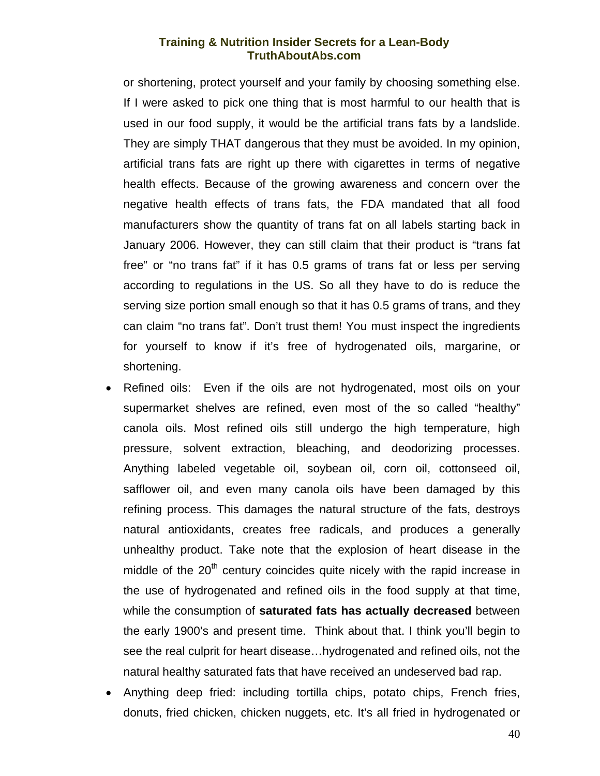or shortening, protect yourself and your family by choosing something else. If I were asked to pick one thing that is most harmful to our health that is used in our food supply, it would be the artificial trans fats by a landslide. They are simply THAT dangerous that they must be avoided. In my opinion, artificial trans fats are right up there with cigarettes in terms of negative health effects. Because of the growing awareness and concern over the negative health effects of trans fats, the FDA mandated that all food manufacturers show the quantity of trans fat on all labels starting back in January 2006. However, they can still claim that their product is "trans fat free" or "no trans fat" if it has 0.5 grams of trans fat or less per serving according to regulations in the US. So all they have to do is reduce the serving size portion small enough so that it has 0.5 grams of trans, and they can claim "no trans fat". Don't trust them! You must inspect the ingredients for yourself to know if it's free of hydrogenated oils, margarine, or shortening.

- Refined oils: Even if the oils are not hydrogenated, most oils on your supermarket shelves are refined, even most of the so called "healthy" canola oils. Most refined oils still undergo the high temperature, high pressure, solvent extraction, bleaching, and deodorizing processes. Anything labeled vegetable oil, soybean oil, corn oil, cottonseed oil, safflower oil, and even many canola oils have been damaged by this refining process. This damages the natural structure of the fats, destroys natural antioxidants, creates free radicals, and produces a generally unhealthy product. Take note that the explosion of heart disease in the middle of the  $20<sup>th</sup>$  century coincides quite nicely with the rapid increase in the use of hydrogenated and refined oils in the food supply at that time, while the consumption of **saturated fats has actually decreased** between the early 1900's and present time. Think about that. I think you'll begin to see the real culprit for heart disease…hydrogenated and refined oils, not the natural healthy saturated fats that have received an undeserved bad rap.
- Anything deep fried: including tortilla chips, potato chips, French fries, donuts, fried chicken, chicken nuggets, etc. It's all fried in hydrogenated or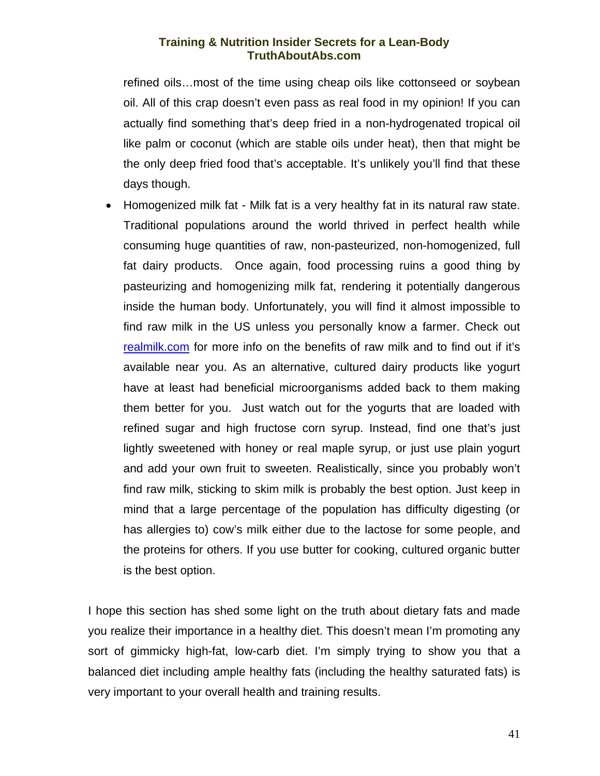refined oils…most of the time using cheap oils like cottonseed or soybean oil. All of this crap doesn't even pass as real food in my opinion! If you can actually find something that's deep fried in a non-hydrogenated tropical oil like palm or coconut (which are stable oils under heat), then that might be the only deep fried food that's acceptable. It's unlikely you'll find that these days though.

• Homogenized milk fat - Milk fat is a very healthy fat in its natural raw state. Traditional populations around the world thrived in perfect health while consuming huge quantities of raw, non-pasteurized, non-homogenized, full fat dairy products. Once again, food processing ruins a good thing by pasteurizing and homogenizing milk fat, rendering it potentially dangerous inside the human body. Unfortunately, you will find it almost impossible to find raw milk in the US unless you personally know a farmer. Check out [realmilk.com](http://www.realmilk.com/) for more info on the benefits of raw milk and to find out if it's available near you. As an alternative, cultured dairy products like yogurt have at least had beneficial microorganisms added back to them making them better for you. Just watch out for the yogurts that are loaded with refined sugar and high fructose corn syrup. Instead, find one that's just lightly sweetened with honey or real maple syrup, or just use plain yogurt and add your own fruit to sweeten. Realistically, since you probably won't find raw milk, sticking to skim milk is probably the best option. Just keep in mind that a large percentage of the population has difficulty digesting (or has allergies to) cow's milk either due to the lactose for some people, and the proteins for others. If you use butter for cooking, cultured organic butter is the best option.

I hope this section has shed some light on the truth about dietary fats and made you realize their importance in a healthy diet. This doesn't mean I'm promoting any sort of gimmicky high-fat, low-carb diet. I'm simply trying to show you that a balanced diet including ample healthy fats (including the healthy saturated fats) is very important to your overall health and training results.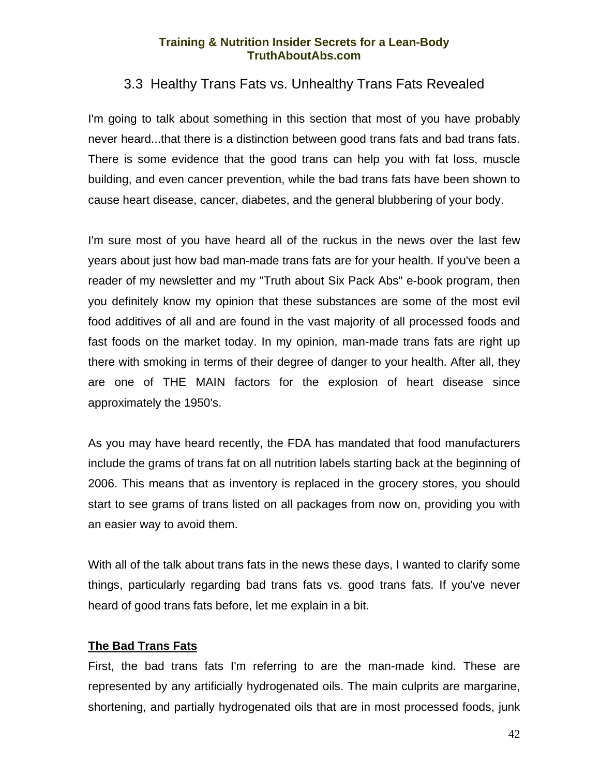## 3.3 Healthy Trans Fats vs. Unhealthy Trans Fats Revealed

<span id="page-43-0"></span>I'm going to talk about something in this section that most of you have probably never heard...that there is a distinction between good trans fats and bad trans fats. There is some evidence that the good trans can help you with fat loss, muscle building, and even cancer prevention, while the bad trans fats have been shown to cause heart disease, cancer, diabetes, and the general blubbering of your body.

I'm sure most of you have heard all of the ruckus in the news over the last few years about just how bad man-made trans fats are for your health. If you've been a reader of my newsletter and my "Truth about Six Pack Abs" e-book program, then you definitely know my opinion that these substances are some of the most evil food additives of all and are found in the vast majority of all processed foods and fast foods on the market today. In my opinion, man-made trans fats are right up there with smoking in terms of their degree of danger to your health. After all, they are one of THE MAIN factors for the explosion of heart disease since approximately the 1950's.

As you may have heard recently, the FDA has mandated that food manufacturers include the grams of trans fat on all nutrition labels starting back at the beginning of 2006. This means that as inventory is replaced in the grocery stores, you should start to see grams of trans listed on all packages from now on, providing you with an easier way to avoid them.

With all of the talk about trans fats in the news these days, I wanted to clarify some things, particularly regarding bad trans fats vs. good trans fats. If you've never heard of good trans fats before, let me explain in a bit.

#### **The Bad Trans Fats**

First, the bad trans fats I'm referring to are the man-made kind. These are represented by any artificially hydrogenated oils. The main culprits are margarine, shortening, and partially hydrogenated oils that are in most processed foods, junk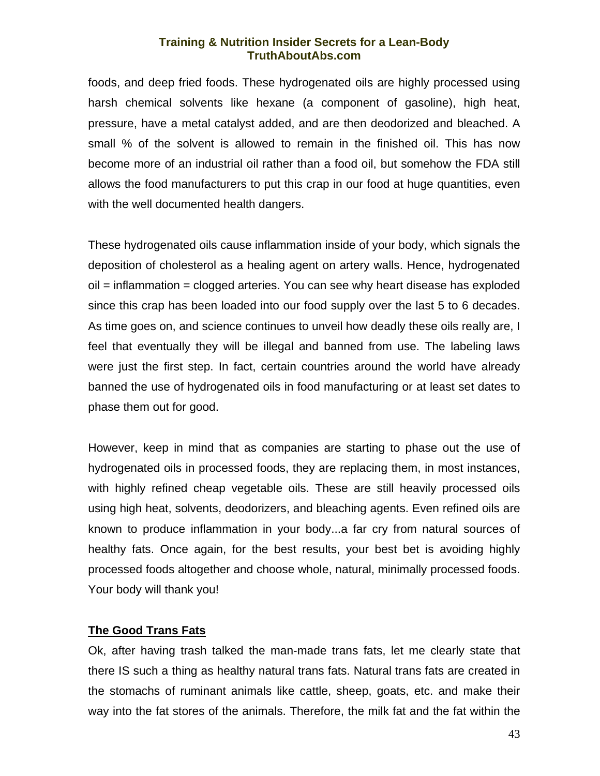foods, and deep fried foods. These hydrogenated oils are highly processed using harsh chemical solvents like hexane (a component of gasoline), high heat, pressure, have a metal catalyst added, and are then deodorized and bleached. A small % of the solvent is allowed to remain in the finished oil. This has now become more of an industrial oil rather than a food oil, but somehow the FDA still allows the food manufacturers to put this crap in our food at huge quantities, even with the well documented health dangers.

These hydrogenated oils cause inflammation inside of your body, which signals the deposition of cholesterol as a healing agent on artery walls. Hence, hydrogenated oil = inflammation = clogged arteries. You can see why heart disease has exploded since this crap has been loaded into our food supply over the last 5 to 6 decades. As time goes on, and science continues to unveil how deadly these oils really are, I feel that eventually they will be illegal and banned from use. The labeling laws were just the first step. In fact, certain countries around the world have already banned the use of hydrogenated oils in food manufacturing or at least set dates to phase them out for good.

However, keep in mind that as companies are starting to phase out the use of hydrogenated oils in processed foods, they are replacing them, in most instances, with highly refined cheap vegetable oils. These are still heavily processed oils using high heat, solvents, deodorizers, and bleaching agents. Even refined oils are known to produce inflammation in your body...a far cry from natural sources of healthy fats. Once again, for the best results, your best bet is avoiding highly processed foods altogether and choose whole, natural, minimally processed foods. Your body will thank you!

#### **The Good Trans Fats**

Ok, after having trash talked the man-made trans fats, let me clearly state that there IS such a thing as healthy natural trans fats. Natural trans fats are created in the stomachs of ruminant animals like cattle, sheep, goats, etc. and make their way into the fat stores of the animals. Therefore, the milk fat and the fat within the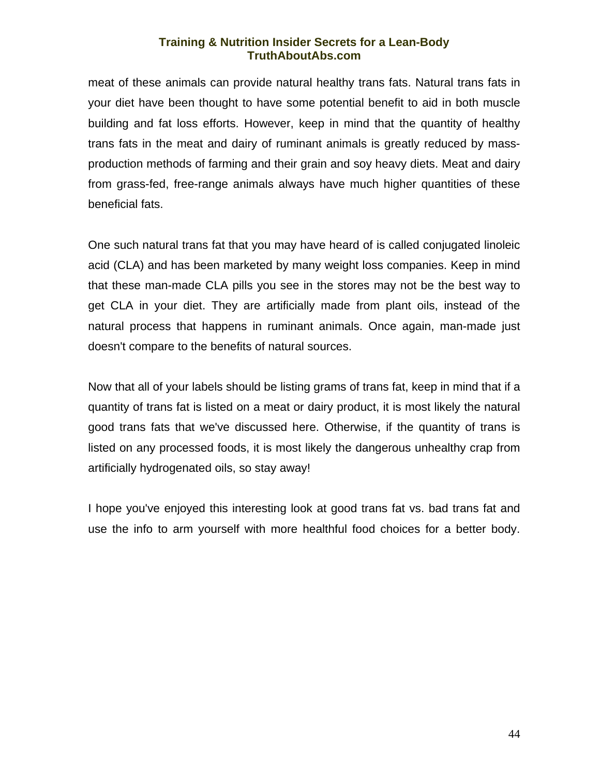meat of these animals can provide natural healthy trans fats. Natural trans fats in your diet have been thought to have some potential benefit to aid in both muscle building and fat loss efforts. However, keep in mind that the quantity of healthy trans fats in the meat and dairy of ruminant animals is greatly reduced by massproduction methods of farming and their grain and soy heavy diets. Meat and dairy from grass-fed, free-range animals always have much higher quantities of these beneficial fats.

One such natural trans fat that you may have heard of is called conjugated linoleic acid (CLA) and has been marketed by many weight loss companies. Keep in mind that these man-made CLA pills you see in the stores may not be the best way to get CLA in your diet. They are artificially made from plant oils, instead of the natural process that happens in ruminant animals. Once again, man-made just doesn't compare to the benefits of natural sources.

Now that all of your labels should be listing grams of trans fat, keep in mind that if a quantity of trans fat is listed on a meat or dairy product, it is most likely the natural good trans fats that we've discussed here. Otherwise, if the quantity of trans is listed on any processed foods, it is most likely the dangerous unhealthy crap from artificially hydrogenated oils, so stay away!

I hope you've enjoyed this interesting look at good trans fat vs. bad trans fat and use the info to arm yourself with more healthful food choices for a better body.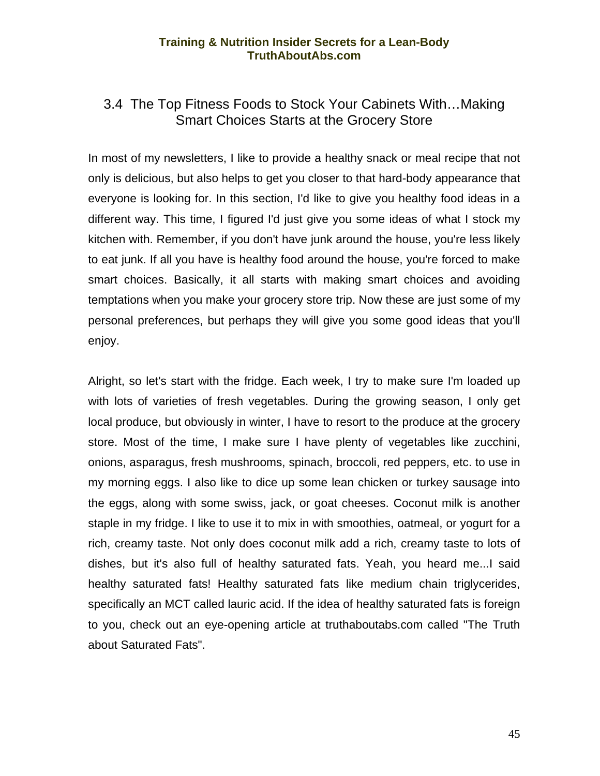## <span id="page-46-0"></span>3.4 The Top Fitness Foods to Stock Your Cabinets With…Making Smart Choices Starts at the Grocery Store

In most of my newsletters, I like to provide a healthy snack or meal recipe that not only is delicious, but also helps to get you closer to that hard-body appearance that everyone is looking for. In this section, I'd like to give you healthy food ideas in a different way. This time, I figured I'd just give you some ideas of what I stock my kitchen with. Remember, if you don't have junk around the house, you're less likely to eat junk. If all you have is healthy food around the house, you're forced to make smart choices. Basically, it all starts with making smart choices and avoiding temptations when you make your grocery store trip. Now these are just some of my personal preferences, but perhaps they will give you some good ideas that you'll enjoy.

Alright, so let's start with the fridge. Each week, I try to make sure I'm loaded up with lots of varieties of fresh vegetables. During the growing season, I only get local produce, but obviously in winter, I have to resort to the produce at the grocery store. Most of the time, I make sure I have plenty of vegetables like zucchini, onions, asparagus, fresh mushrooms, spinach, broccoli, red peppers, etc. to use in my morning eggs. I also like to dice up some lean chicken or turkey sausage into the eggs, along with some swiss, jack, or goat cheeses. Coconut milk is another staple in my fridge. I like to use it to mix in with smoothies, oatmeal, or yogurt for a rich, creamy taste. Not only does coconut milk add a rich, creamy taste to lots of dishes, but it's also full of healthy saturated fats. Yeah, you heard me...I said healthy saturated fats! Healthy saturated fats like medium chain triglycerides, specifically an MCT called lauric acid. If the idea of healthy saturated fats is foreign to you, check out an eye-opening article at truthaboutabs.com called "The Truth about Saturated Fats".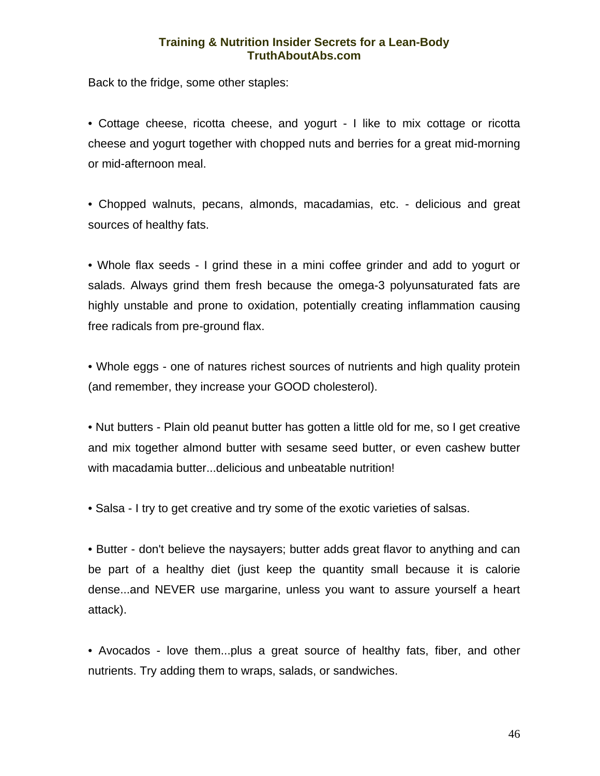Back to the fridge, some other staples:

• Cottage cheese, ricotta cheese, and yogurt - I like to mix cottage or ricotta cheese and yogurt together with chopped nuts and berries for a great mid-morning or mid-afternoon meal.

• Chopped walnuts, pecans, almonds, macadamias, etc. - delicious and great sources of healthy fats.

• Whole flax seeds - I grind these in a mini coffee grinder and add to yogurt or salads. Always grind them fresh because the omega-3 polyunsaturated fats are highly unstable and prone to oxidation, potentially creating inflammation causing free radicals from pre-ground flax.

• Whole eggs - one of natures richest sources of nutrients and high quality protein (and remember, they increase your GOOD cholesterol).

• Nut butters - Plain old peanut butter has gotten a little old for me, so I get creative and mix together almond butter with sesame seed butter, or even cashew butter with macadamia butter...delicious and unbeatable nutrition!

• Salsa - I try to get creative and try some of the exotic varieties of salsas.

• Butter - don't believe the naysayers; butter adds great flavor to anything and can be part of a healthy diet (just keep the quantity small because it is calorie dense...and NEVER use margarine, unless you want to assure yourself a heart attack).

• Avocados - love them...plus a great source of healthy fats, fiber, and other nutrients. Try adding them to wraps, salads, or sandwiches.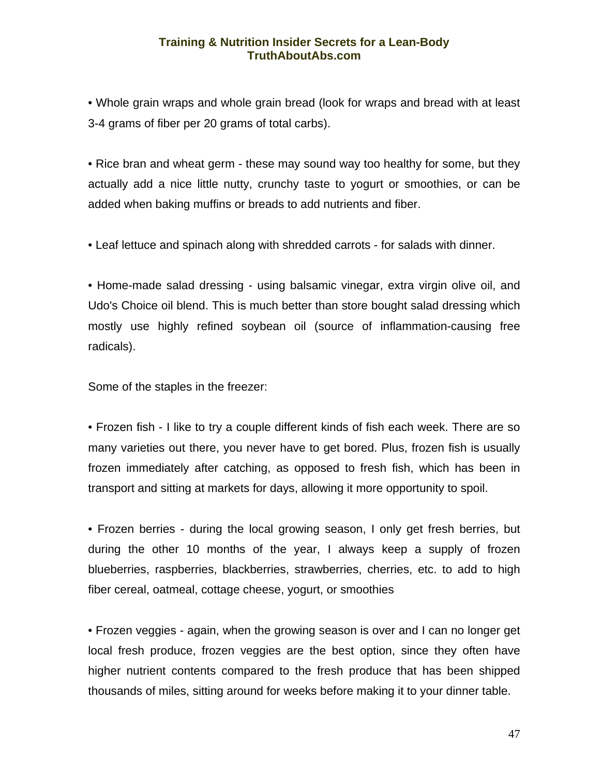• Whole grain wraps and whole grain bread (look for wraps and bread with at least 3-4 grams of fiber per 20 grams of total carbs).

• Rice bran and wheat germ - these may sound way too healthy for some, but they actually add a nice little nutty, crunchy taste to yogurt or smoothies, or can be added when baking muffins or breads to add nutrients and fiber.

• Leaf lettuce and spinach along with shredded carrots - for salads with dinner.

• Home-made salad dressing - using balsamic vinegar, extra virgin olive oil, and Udo's Choice oil blend. This is much better than store bought salad dressing which mostly use highly refined soybean oil (source of inflammation-causing free radicals).

Some of the staples in the freezer:

• Frozen fish - I like to try a couple different kinds of fish each week. There are so many varieties out there, you never have to get bored. Plus, frozen fish is usually frozen immediately after catching, as opposed to fresh fish, which has been in transport and sitting at markets for days, allowing it more opportunity to spoil.

• Frozen berries - during the local growing season, I only get fresh berries, but during the other 10 months of the year, I always keep a supply of frozen blueberries, raspberries, blackberries, strawberries, cherries, etc. to add to high fiber cereal, oatmeal, cottage cheese, yogurt, or smoothies

• Frozen veggies - again, when the growing season is over and I can no longer get local fresh produce, frozen veggies are the best option, since they often have higher nutrient contents compared to the fresh produce that has been shipped thousands of miles, sitting around for weeks before making it to your dinner table.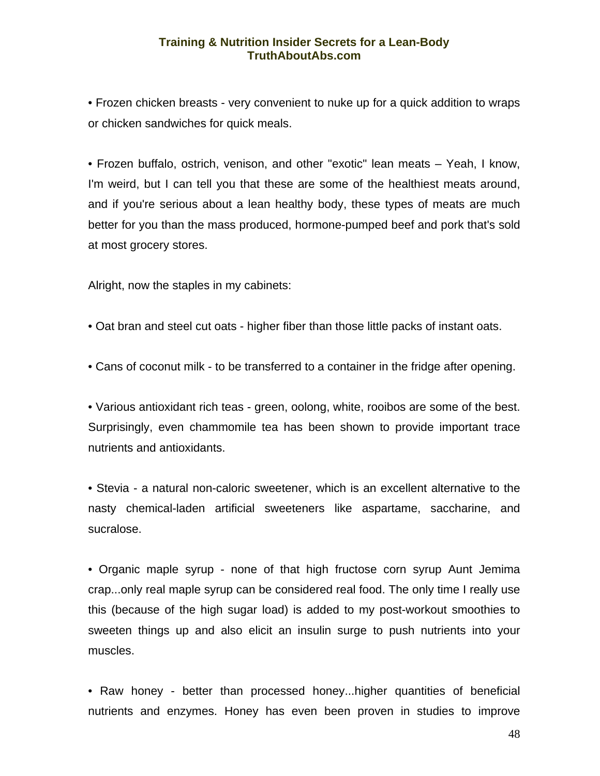• Frozen chicken breasts - very convenient to nuke up for a quick addition to wraps or chicken sandwiches for quick meals.

• Frozen buffalo, ostrich, venison, and other "exotic" lean meats – Yeah, I know, I'm weird, but I can tell you that these are some of the healthiest meats around, and if you're serious about a lean healthy body, these types of meats are much better for you than the mass produced, hormone-pumped beef and pork that's sold at most grocery stores.

Alright, now the staples in my cabinets:

- Oat bran and steel cut oats higher fiber than those little packs of instant oats.
- Cans of coconut milk to be transferred to a container in the fridge after opening.

• Various antioxidant rich teas - green, oolong, white, rooibos are some of the best. Surprisingly, even chammomile tea has been shown to provide important trace nutrients and antioxidants.

• Stevia - a natural non-caloric sweetener, which is an excellent alternative to the nasty chemical-laden artificial sweeteners like aspartame, saccharine, and sucralose.

• Organic maple syrup - none of that high fructose corn syrup Aunt Jemima crap...only real maple syrup can be considered real food. The only time I really use this (because of the high sugar load) is added to my post-workout smoothies to sweeten things up and also elicit an insulin surge to push nutrients into your muscles.

• Raw honey - better than processed honey...higher quantities of beneficial nutrients and enzymes. Honey has even been proven in studies to improve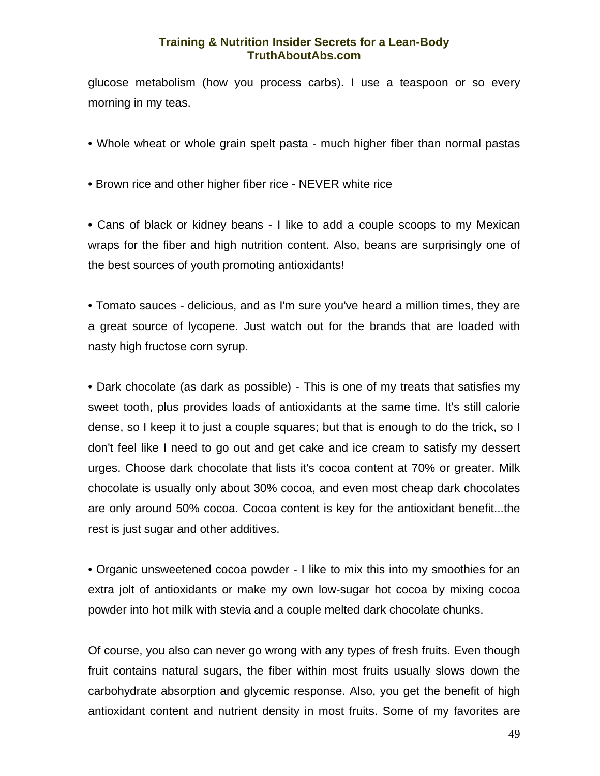glucose metabolism (how you process carbs). I use a teaspoon or so every morning in my teas.

• Whole wheat or whole grain spelt pasta - much higher fiber than normal pastas

• Brown rice and other higher fiber rice - NEVER white rice

• Cans of black or kidney beans - I like to add a couple scoops to my Mexican wraps for the fiber and high nutrition content. Also, beans are surprisingly one of the best sources of youth promoting antioxidants!

• Tomato sauces - delicious, and as I'm sure you've heard a million times, they are a great source of lycopene. Just watch out for the brands that are loaded with nasty high fructose corn syrup.

• Dark chocolate (as dark as possible) - This is one of my treats that satisfies my sweet tooth, plus provides loads of antioxidants at the same time. It's still calorie dense, so I keep it to just a couple squares; but that is enough to do the trick, so I don't feel like I need to go out and get cake and ice cream to satisfy my dessert urges. Choose dark chocolate that lists it's cocoa content at 70% or greater. Milk chocolate is usually only about 30% cocoa, and even most cheap dark chocolates are only around 50% cocoa. Cocoa content is key for the antioxidant benefit...the rest is just sugar and other additives.

• Organic unsweetened cocoa powder - I like to mix this into my smoothies for an extra jolt of antioxidants or make my own low-sugar hot cocoa by mixing cocoa powder into hot milk with stevia and a couple melted dark chocolate chunks.

Of course, you also can never go wrong with any types of fresh fruits. Even though fruit contains natural sugars, the fiber within most fruits usually slows down the carbohydrate absorption and glycemic response. Also, you get the benefit of high antioxidant content and nutrient density in most fruits. Some of my favorites are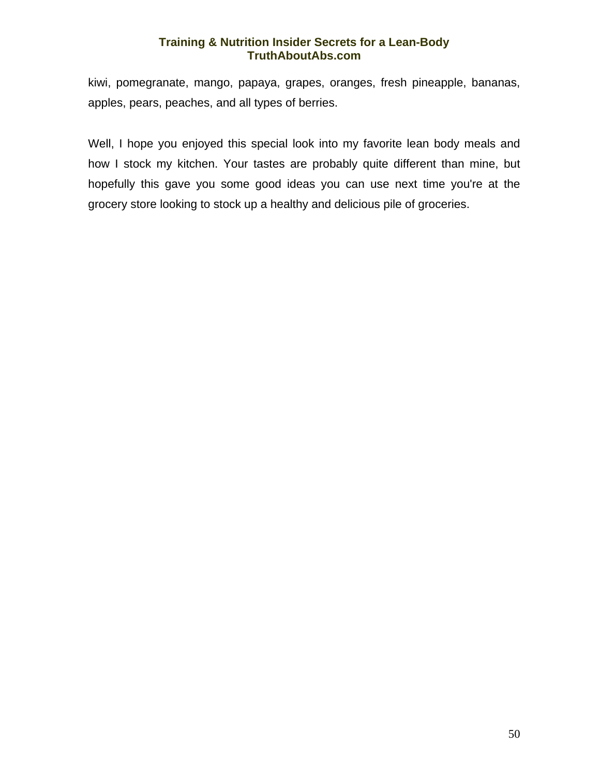kiwi, pomegranate, mango, papaya, grapes, oranges, fresh pineapple, bananas, apples, pears, peaches, and all types of berries.

Well, I hope you enjoyed this special look into my favorite lean body meals and how I stock my kitchen. Your tastes are probably quite different than mine, but hopefully this gave you some good ideas you can use next time you're at the grocery store looking to stock up a healthy and delicious pile of groceries.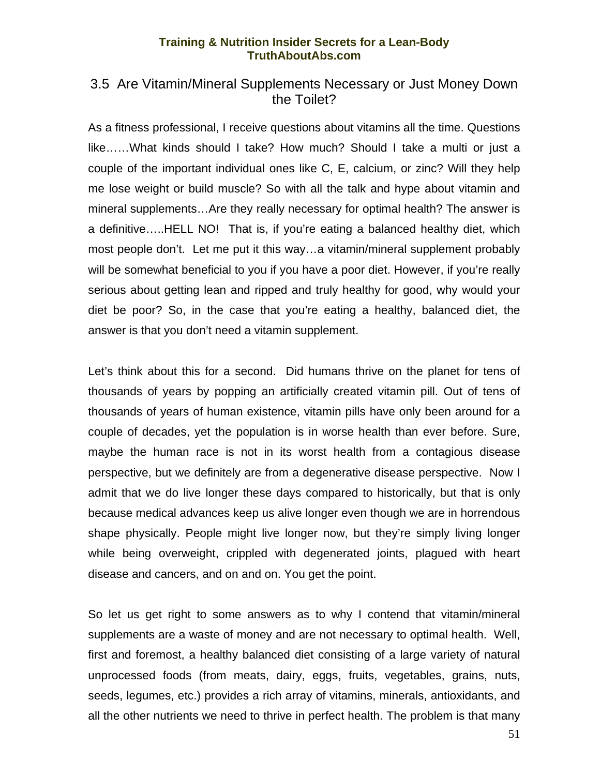## <span id="page-52-0"></span>3.5 Are Vitamin/Mineral Supplements Necessary or Just Money Down the Toilet?

As a fitness professional, I receive questions about vitamins all the time. Questions like……What kinds should I take? How much? Should I take a multi or just a couple of the important individual ones like C, E, calcium, or zinc? Will they help me lose weight or build muscle? So with all the talk and hype about vitamin and mineral supplements…Are they really necessary for optimal health? The answer is a definitive…..HELL NO! That is, if you're eating a balanced healthy diet, which most people don't. Let me put it this way…a vitamin/mineral supplement probably will be somewhat beneficial to you if you have a poor diet. However, if you're really serious about getting lean and ripped and truly healthy for good, why would your diet be poor? So, in the case that you're eating a healthy, balanced diet, the answer is that you don't need a vitamin supplement.

Let's think about this for a second. Did humans thrive on the planet for tens of thousands of years by popping an artificially created vitamin pill. Out of tens of thousands of years of human existence, vitamin pills have only been around for a couple of decades, yet the population is in worse health than ever before. Sure, maybe the human race is not in its worst health from a contagious disease perspective, but we definitely are from a degenerative disease perspective. Now I admit that we do live longer these days compared to historically, but that is only because medical advances keep us alive longer even though we are in horrendous shape physically. People might live longer now, but they're simply living longer while being overweight, crippled with degenerated joints, plagued with heart disease and cancers, and on and on. You get the point.

So let us get right to some answers as to why I contend that vitamin/mineral supplements are a waste of money and are not necessary to optimal health. Well, first and foremost, a healthy balanced diet consisting of a large variety of natural unprocessed foods (from meats, dairy, eggs, fruits, vegetables, grains, nuts, seeds, legumes, etc.) provides a rich array of vitamins, minerals, antioxidants, and all the other nutrients we need to thrive in perfect health. The problem is that many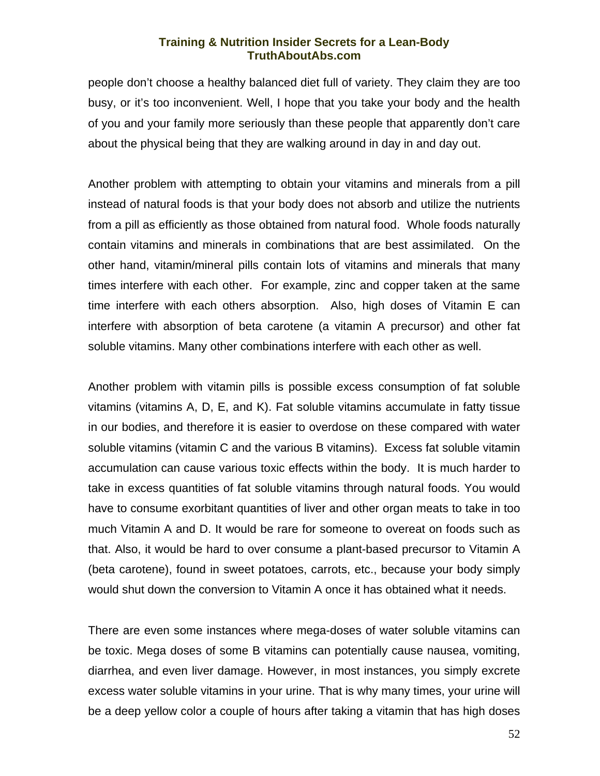people don't choose a healthy balanced diet full of variety. They claim they are too busy, or it's too inconvenient. Well, I hope that you take your body and the health of you and your family more seriously than these people that apparently don't care about the physical being that they are walking around in day in and day out.

Another problem with attempting to obtain your vitamins and minerals from a pill instead of natural foods is that your body does not absorb and utilize the nutrients from a pill as efficiently as those obtained from natural food. Whole foods naturally contain vitamins and minerals in combinations that are best assimilated. On the other hand, vitamin/mineral pills contain lots of vitamins and minerals that many times interfere with each other. For example, zinc and copper taken at the same time interfere with each others absorption. Also, high doses of Vitamin E can interfere with absorption of beta carotene (a vitamin A precursor) and other fat soluble vitamins. Many other combinations interfere with each other as well.

Another problem with vitamin pills is possible excess consumption of fat soluble vitamins (vitamins A, D, E, and K). Fat soluble vitamins accumulate in fatty tissue in our bodies, and therefore it is easier to overdose on these compared with water soluble vitamins (vitamin C and the various B vitamins). Excess fat soluble vitamin accumulation can cause various toxic effects within the body. It is much harder to take in excess quantities of fat soluble vitamins through natural foods. You would have to consume exorbitant quantities of liver and other organ meats to take in too much Vitamin A and D. It would be rare for someone to overeat on foods such as that. Also, it would be hard to over consume a plant-based precursor to Vitamin A (beta carotene), found in sweet potatoes, carrots, etc., because your body simply would shut down the conversion to Vitamin A once it has obtained what it needs.

There are even some instances where mega-doses of water soluble vitamins can be toxic. Mega doses of some B vitamins can potentially cause nausea, vomiting, diarrhea, and even liver damage. However, in most instances, you simply excrete excess water soluble vitamins in your urine. That is why many times, your urine will be a deep yellow color a couple of hours after taking a vitamin that has high doses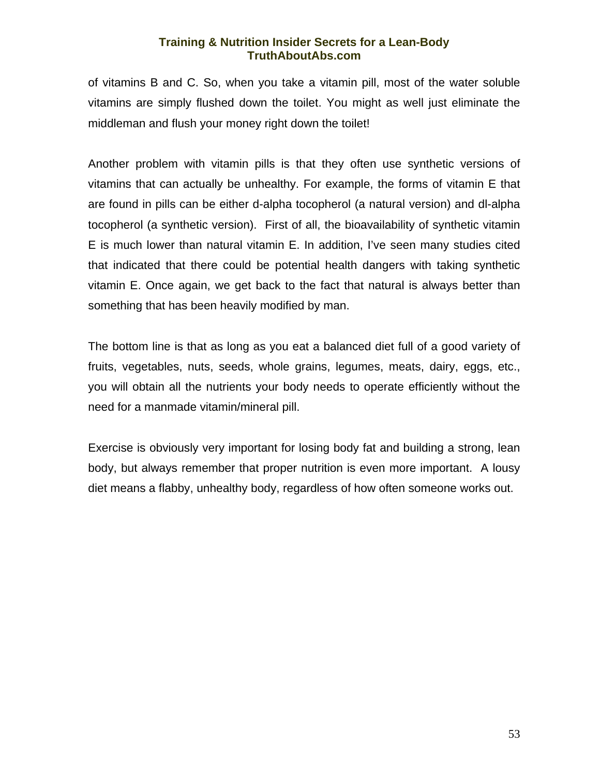of vitamins B and C. So, when you take a vitamin pill, most of the water soluble vitamins are simply flushed down the toilet. You might as well just eliminate the middleman and flush your money right down the toilet!

Another problem with vitamin pills is that they often use synthetic versions of vitamins that can actually be unhealthy. For example, the forms of vitamin E that are found in pills can be either d-alpha tocopherol (a natural version) and dl-alpha tocopherol (a synthetic version). First of all, the bioavailability of synthetic vitamin E is much lower than natural vitamin E. In addition, I've seen many studies cited that indicated that there could be potential health dangers with taking synthetic vitamin E. Once again, we get back to the fact that natural is always better than something that has been heavily modified by man.

The bottom line is that as long as you eat a balanced diet full of a good variety of fruits, vegetables, nuts, seeds, whole grains, legumes, meats, dairy, eggs, etc., you will obtain all the nutrients your body needs to operate efficiently without the need for a manmade vitamin/mineral pill.

Exercise is obviously very important for losing body fat and building a strong, lean body, but always remember that proper nutrition is even more important. A lousy diet means a flabby, unhealthy body, regardless of how often someone works out.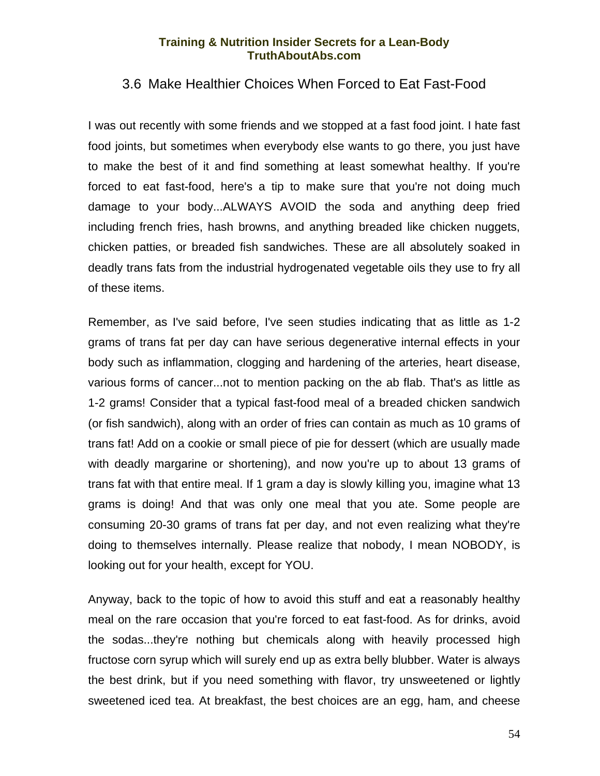## <span id="page-55-0"></span>3.6 Make Healthier Choices When Forced to Eat Fast-Food

I was out recently with some friends and we stopped at a fast food joint. I hate fast food joints, but sometimes when everybody else wants to go there, you just have to make the best of it and find something at least somewhat healthy. If you're forced to eat fast-food, here's a tip to make sure that you're not doing much damage to your body...ALWAYS AVOID the soda and anything deep fried including french fries, hash browns, and anything breaded like chicken nuggets, chicken patties, or breaded fish sandwiches. These are all absolutely soaked in deadly trans fats from the industrial hydrogenated vegetable oils they use to fry all of these items.

Remember, as I've said before, I've seen studies indicating that as little as 1-2 grams of trans fat per day can have serious degenerative internal effects in your body such as inflammation, clogging and hardening of the arteries, heart disease, various forms of cancer...not to mention packing on the ab flab. That's as little as 1-2 grams! Consider that a typical fast-food meal of a breaded chicken sandwich (or fish sandwich), along with an order of fries can contain as much as 10 grams of trans fat! Add on a cookie or small piece of pie for dessert (which are usually made with deadly margarine or shortening), and now you're up to about 13 grams of trans fat with that entire meal. If 1 gram a day is slowly killing you, imagine what 13 grams is doing! And that was only one meal that you ate. Some people are consuming 20-30 grams of trans fat per day, and not even realizing what they're doing to themselves internally. Please realize that nobody, I mean NOBODY, is looking out for your health, except for YOU.

Anyway, back to the topic of how to avoid this stuff and eat a reasonably healthy meal on the rare occasion that you're forced to eat fast-food. As for drinks, avoid the sodas...they're nothing but chemicals along with heavily processed high fructose corn syrup which will surely end up as extra belly blubber. Water is always the best drink, but if you need something with flavor, try unsweetened or lightly sweetened iced tea. At breakfast, the best choices are an egg, ham, and cheese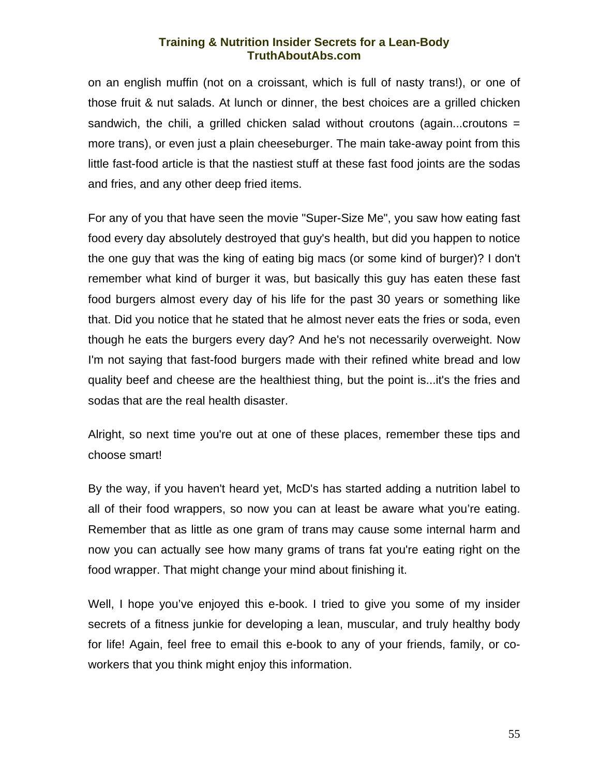on an english muffin (not on a croissant, which is full of nasty trans!), or one of those fruit & nut salads. At lunch or dinner, the best choices are a grilled chicken sandwich, the chili, a grilled chicken salad without croutons (again...croutons = more trans), or even just a plain cheeseburger. The main take-away point from this little fast-food article is that the nastiest stuff at these fast food joints are the sodas and fries, and any other deep fried items.

For any of you that have seen the movie "Super-Size Me", you saw how eating fast food every day absolutely destroyed that guy's health, but did you happen to notice the one guy that was the king of eating big macs (or some kind of burger)? I don't remember what kind of burger it was, but basically this guy has eaten these fast food burgers almost every day of his life for the past 30 years or something like that. Did you notice that he stated that he almost never eats the fries or soda, even though he eats the burgers every day? And he's not necessarily overweight. Now I'm not saying that fast-food burgers made with their refined white bread and low quality beef and cheese are the healthiest thing, but the point is...it's the fries and sodas that are the real health disaster.

Alright, so next time you're out at one of these places, remember these tips and choose smart!

By the way, if you haven't heard yet, McD's has started adding a nutrition label to all of their food wrappers, so now you can at least be aware what you're eating. Remember that as little as one gram of trans may cause some internal harm and now you can actually see how many grams of trans fat you're eating right on the food wrapper. That might change your mind about finishing it.

Well, I hope you've enjoyed this e-book. I tried to give you some of my insider secrets of a fitness junkie for developing a lean, muscular, and truly healthy body for life! Again, feel free to email this e-book to any of your friends, family, or coworkers that you think might enjoy this information.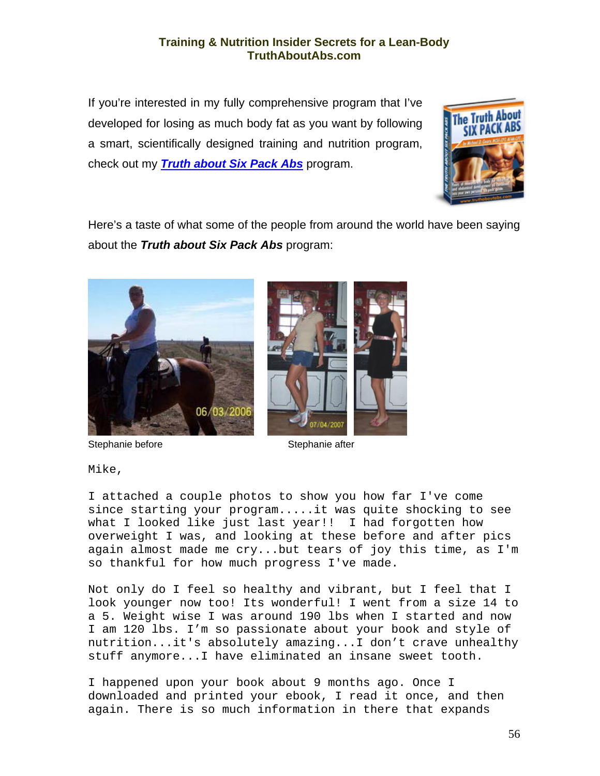If you're interested in my fully comprehensive program that I've developed for losing as much body fat as you want by following a smart, scientifically designed training and nutrition program, check out my *[Truth about Six Pack Abs](http://exercise.mikegeary1.hop.clickbank.net/)* program.



Here's a taste of what some of the people from around the world have been saying about the *Truth about Six Pack Abs* program:





Stephanie before Stephanie after

Mike,

I attached a couple photos to show you how far I've come since starting your program.....it was quite shocking to see what I looked like just last year!! I had forgotten how overweight I was, and looking at these before and after pics again almost made me cry...but tears of joy this time, as I'm so thankful for how much progress I've made.

Not only do I feel so healthy and vibrant, but I feel that I look younger now too! Its wonderful! I went from a size 14 to a 5. Weight wise I was around 190 lbs when I started and now I am 120 lbs. I'm so passionate about your book and style of nutrition...it's absolutely amazing...I don't crave unhealthy stuff anymore...I have eliminated an insane sweet tooth.

I happened upon your book about 9 months ago. Once I downloaded and printed your ebook, I read it once, and then again. There is so much information in there that expands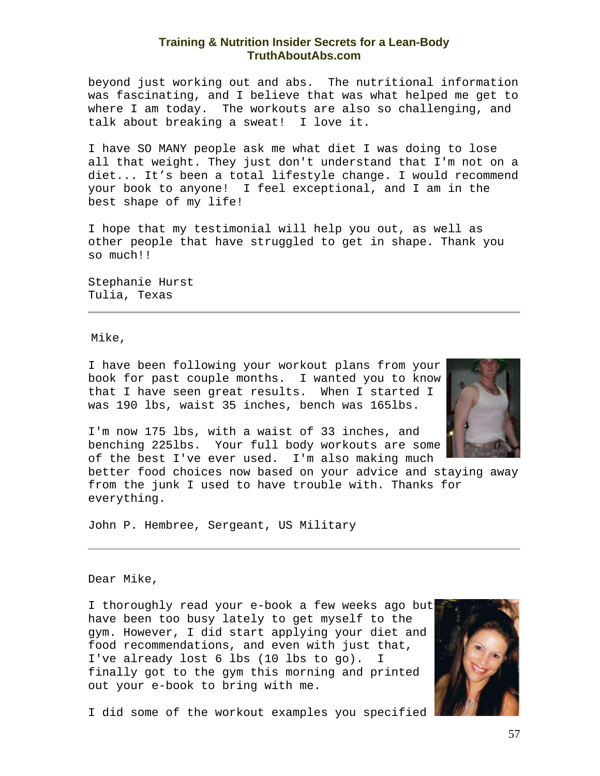beyond just working out and abs. The nutritional information was fascinating, and I believe that was what helped me get to where I am today. The workouts are also so challenging, and talk about breaking a sweat! I love it.

I have SO MANY people ask me what diet I was doing to lose all that weight. They just don't understand that I'm not on a diet... It's been a total lifestyle change. I would recommend your book to anyone! I feel exceptional, and I am in the best shape of my life!

I hope that my testimonial will help you out, as well as other people that have struggled to get in shape. Thank you so much!!

Stephanie Hurst Tulia, Texas

Mike,

I have been following your workout plans from your book for past couple months. I wanted you to know that I have seen great results. When I started I was 190 lbs, waist 35 inches, bench was 165lbs.



I'm now 175 lbs, with a waist of 33 inches, and benching 225lbs. Your full body workouts are some of the best I've ever used. I'm also making much

better food choices now based on your advice and staying away from the junk I used to have trouble with. Thanks for everything.

John P. Hembree, Sergeant, US Military

Dear Mike,

I thoroughly read your e-book a few weeks ago but have been too busy lately to get myself to the gym. However, I did start applying your diet and food recommendations, and even with just that, I've already lost 6 lbs (10 lbs to go). I finally got to the gym this morning and printed out your e-book to bring with me.



I did some of the workout examples you specified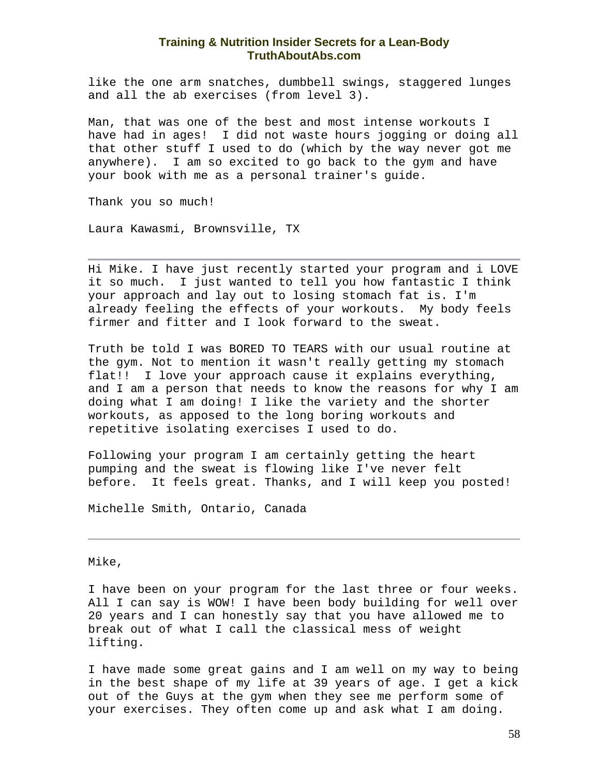like the one arm snatches, dumbbell swings, staggered lunges and all the ab exercises (from level 3).

Man, that was one of the best and most intense workouts I have had in ages! I did not waste hours jogging or doing all that other stuff I used to do (which by the way never got me anywhere). I am so excited to go back to the gym and have your book with me as a personal trainer's guide.

Thank you so much!

Laura Kawasmi, Brownsville, TX

Hi Mike. I have just recently started your program and i LOVE it so much. I just wanted to tell you how fantastic I think your approach and lay out to losing stomach fat is. I'm already feeling the effects of your workouts. My body feels firmer and fitter and I look forward to the sweat.

Truth be told I was BORED TO TEARS with our usual routine at the gym. Not to mention it wasn't really getting my stomach flat!! I love your approach cause it explains everything, and I am a person that needs to know the reasons for why I am doing what I am doing! I like the variety and the shorter workouts, as apposed to the long boring workouts and repetitive isolating exercises I used to do.

Following your program I am certainly getting the heart pumping and the sweat is flowing like I've never felt before. It feels great. Thanks, and I will keep you posted!

Michelle Smith, Ontario, Canada

Mike,

I have been on your program for the last three or four weeks. All I can say is WOW! I have been body building for well over 20 years and I can honestly say that you have allowed me to break out of what I call the classical mess of weight lifting.

I have made some great gains and I am well on my way to being in the best shape of my life at 39 years of age. I get a kick out of the Guys at the gym when they see me perform some of your exercises. They often come up and ask what I am doing.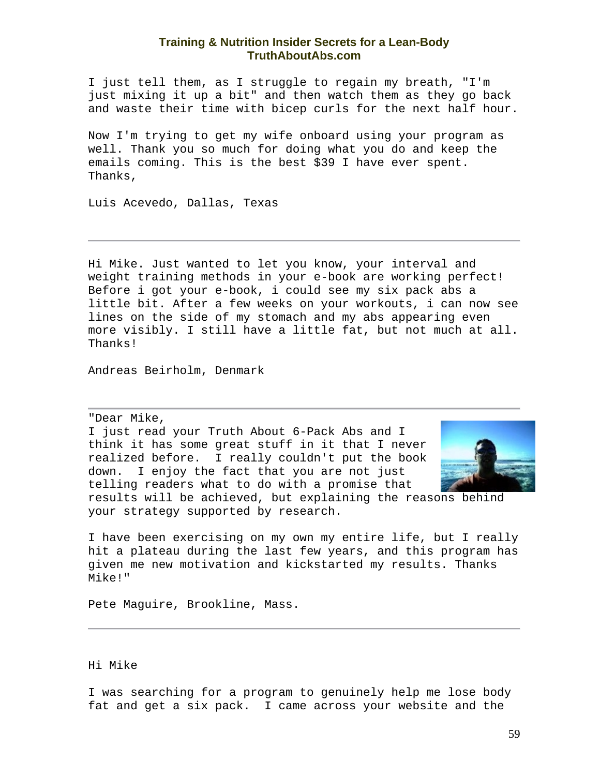I just tell them, as I struggle to regain my breath, "I'm just mixing it up a bit" and then watch them as they go back and waste their time with bicep curls for the next half hour.

Now I'm trying to get my wife onboard using your program as well. Thank you so much for doing what you do and keep the emails coming. This is the best \$39 I have ever spent. Thanks,

Luis Acevedo, Dallas, Texas

Hi Mike. Just wanted to let you know, your interval and weight training methods in your e-book are working perfect! Before i got your e-book, i could see my six pack abs a little bit. After a few weeks on your workouts, i can now see lines on the side of my stomach and my abs appearing even more visibly. I still have a little fat, but not much at all. Thanks!

Andreas Beirholm, Denmark

"Dear Mike,

I just read your Truth About 6-Pack Abs and I think it has some great stuff in it that I never realized before. I really couldn't put the book down. I enjoy the fact that you are not just telling readers what to do with a promise that



results will be achieved, but explaining the reasons behind your strategy supported by research.

I have been exercising on my own my entire life, but I really hit a plateau during the last few years, and this program has given me new motivation and kickstarted my results. Thanks Mike!"

Pete Maguire, Brookline, Mass.

#### Hi Mike

I was searching for a program to genuinely help me lose body fat and get a six pack. I came across your website and the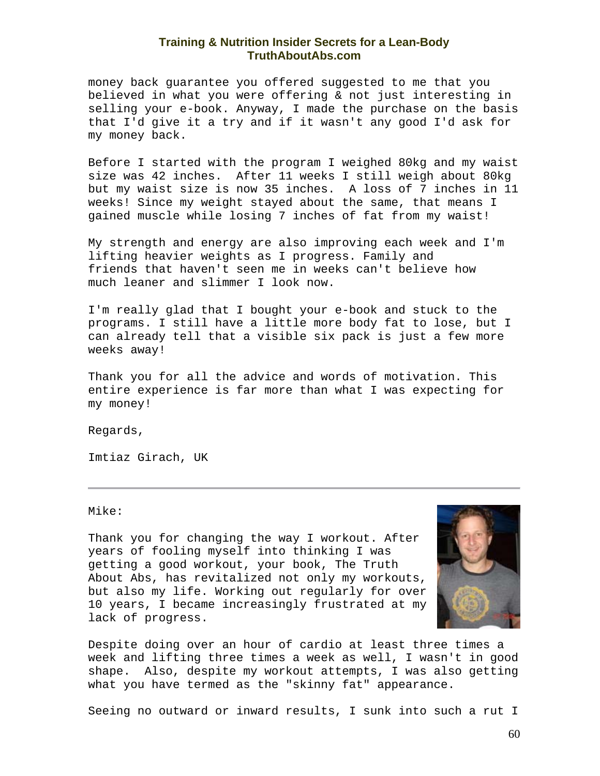money back guarantee you offered suggested to me that you believed in what you were offering & not just interesting in selling your e-book. Anyway, I made the purchase on the basis that I'd give it a try and if it wasn't any good I'd ask for my money back.

Before I started with the program I weighed 80kg and my waist size was 42 inches. After 11 weeks I still weigh about 80kg but my waist size is now 35 inches. A loss of 7 inches in 11 weeks! Since my weight stayed about the same, that means I gained muscle while losing 7 inches of fat from my waist!

My strength and energy are also improving each week and I'm lifting heavier weights as I progress. Family and friends that haven't seen me in weeks can't believe how much leaner and slimmer I look now.

I'm really glad that I bought your e-book and stuck to the programs. I still have a little more body fat to lose, but I can already tell that a visible six pack is just a few more weeks away!

Thank you for all the advice and words of motivation. This entire experience is far more than what I was expecting for my money!

Regards,

Imtiaz Girach, UK

Mike:

Thank you for changing the way I workout. After years of fooling myself into thinking I was getting a good workout, your book, The Truth About Abs, has revitalized not only my workouts, but also my life. Working out regularly for over 10 years, I became increasingly frustrated at my lack of progress.



Despite doing over an hour of cardio at least three times a week and lifting three times a week as well, I wasn't in good shape. Also, despite my workout attempts, I was also getting what you have termed as the "skinny fat" appearance.

Seeing no outward or inward results, I sunk into such a rut I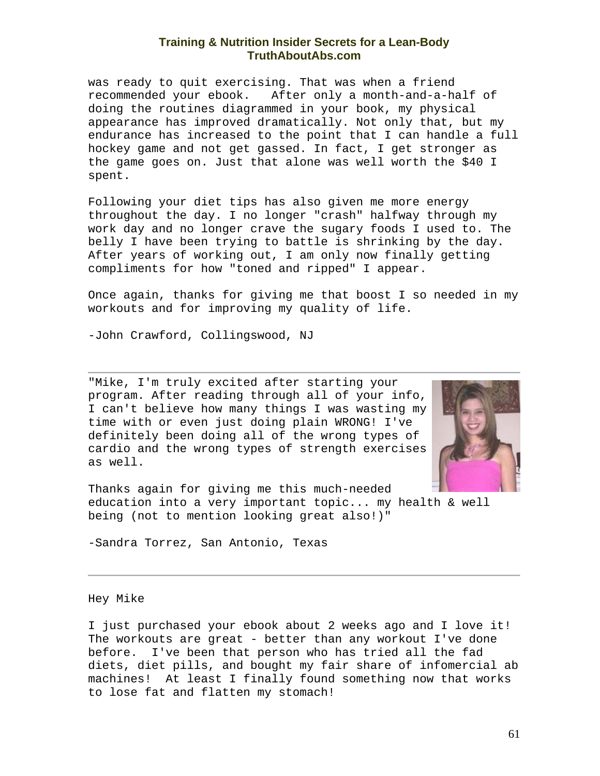was ready to quit exercising. That was when a friend recommended your ebook. After only a month-and-a-half of doing the routines diagrammed in your book, my physical appearance has improved dramatically. Not only that, but my endurance has increased to the point that I can handle a full hockey game and not get gassed. In fact, I get stronger as the game goes on. Just that alone was well worth the \$40 I spent.

Following your diet tips has also given me more energy throughout the day. I no longer "crash" halfway through my work day and no longer crave the sugary foods I used to. The belly I have been trying to battle is shrinking by the day. After years of working out, I am only now finally getting compliments for how "toned and ripped" I appear.

Once again, thanks for giving me that boost I so needed in my workouts and for improving my quality of life.

-John Crawford, Collingswood, NJ

"Mike, I'm truly excited after starting your program. After reading through all of your info, I can't believe how many things I was wasting my time with or even just doing plain WRONG! I've definitely been doing all of the wrong types of cardio and the wrong types of strength exercises as well.



Thanks again for giving me this much-needed education into a very important topic... my health & well being (not to mention looking great also!)"

-Sandra Torrez, San Antonio, Texas

Hey Mike

I just purchased your ebook about 2 weeks ago and I love it! The workouts are great - better than any workout I've done before. I've been that person who has tried all the fad diets, diet pills, and bought my fair share of infomercial ab machines! At least I finally found something now that works to lose fat and flatten my stomach!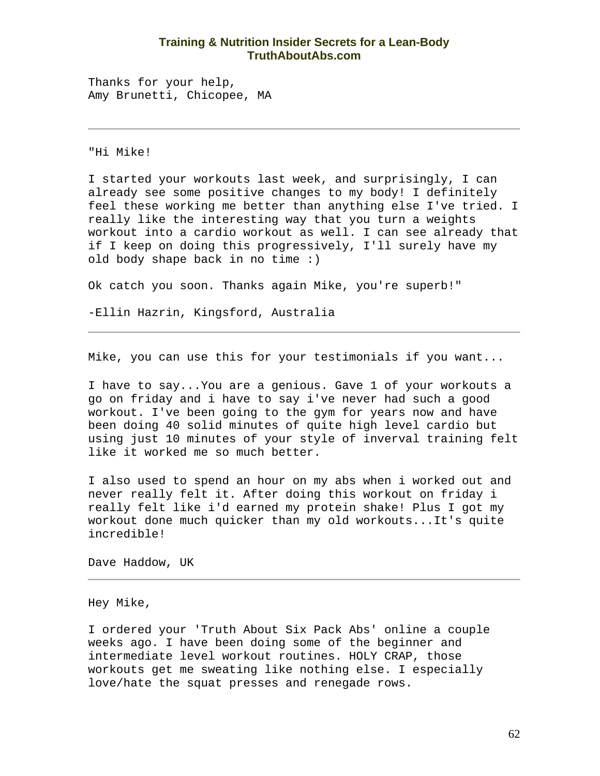Thanks for your help, Amy Brunetti, Chicopee, MA

"Hi Mike!

I started your workouts last week, and surprisingly, I can already see some positive changes to my body! I definitely feel these working me better than anything else I've tried. I really like the interesting way that you turn a weights workout into a cardio workout as well. I can see already that if I keep on doing this progressively, I'll surely have my old body shape back in no time :)

Ok catch you soon. Thanks again Mike, you're superb!"

-Ellin Hazrin, Kingsford, Australia

Mike, you can use this for your testimonials if you want...

I have to say...You are a genious. Gave 1 of your workouts a go on friday and i have to say i've never had such a good workout. I've been going to the gym for years now and have been doing 40 solid minutes of quite high level cardio but using just 10 minutes of your style of inverval training felt like it worked me so much better.

I also used to spend an hour on my abs when i worked out and never really felt it. After doing this workout on friday i really felt like i'd earned my protein shake! Plus I got my workout done much quicker than my old workouts...It's quite incredible!

Dave Haddow, UK

Hey Mike,

I ordered your 'Truth About Six Pack Abs' online a couple weeks ago. I have been doing some of the beginner and intermediate level workout routines. HOLY CRAP, those workouts get me sweating like nothing else. I especially love/hate the squat presses and renegade rows.